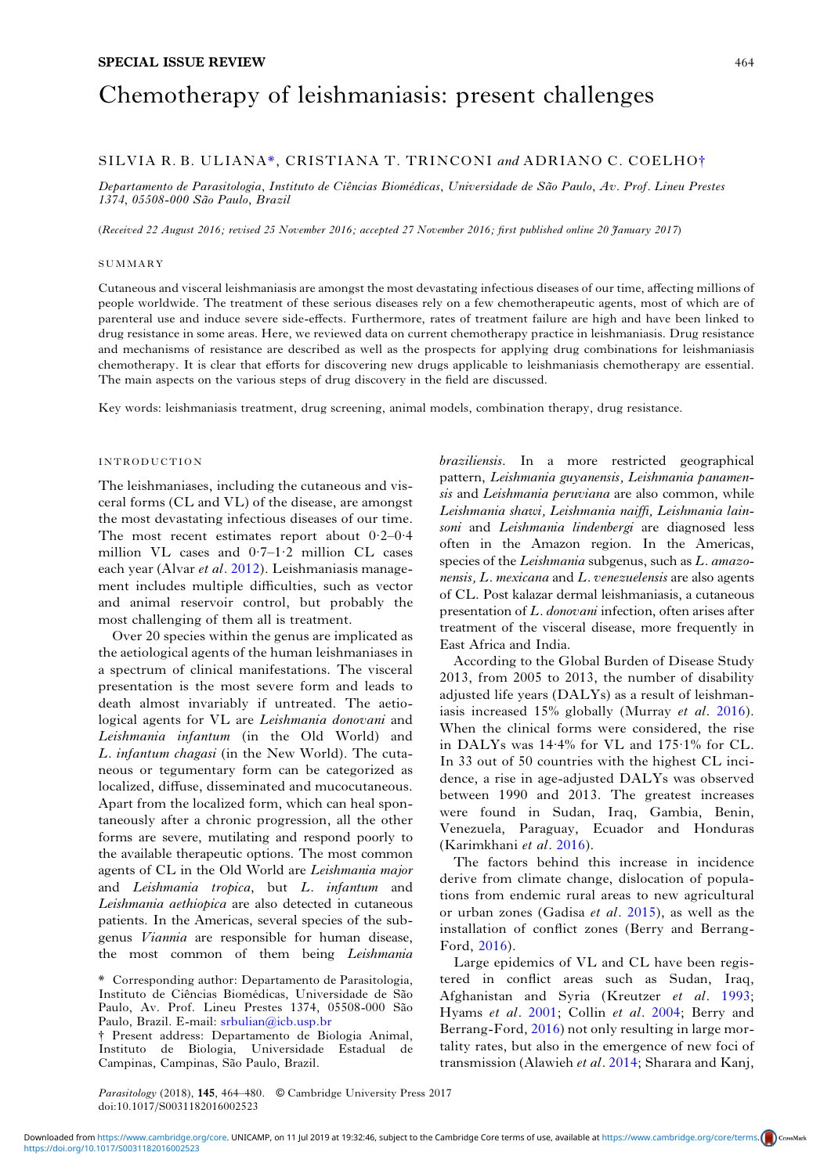# SILVIA R. B. ULIANA\*, CRISTIANA T. TRINCONI and ADRIANO C. COELHO†

Departamento de Parasitologia, Instituto de Ciências Biomédicas, Universidade de São Paulo, Av. Prof. Lineu Prestes 1374, 05508-000 São Paulo, Brazil

(Received 22 August 2016; revised 25 November 2016; accepted 27 November 2016; first published online 20 January 2017)

#### **SUMMARY**

Cutaneous and visceral leishmaniasis are amongst the most devastating infectious diseases of our time, affecting millions of people worldwide. The treatment of these serious diseases rely on a few chemotherapeutic agents, most of which are of parenteral use and induce severe side-effects. Furthermore, rates of treatment failure are high and have been linked to drug resistance in some areas. Here, we reviewed data on current chemotherapy practice in leishmaniasis. Drug resistance and mechanisms of resistance are described as well as the prospects for applying drug combinations for leishmaniasis chemotherapy. It is clear that efforts for discovering new drugs applicable to leishmaniasis chemotherapy are essential. The main aspects on the various steps of drug discovery in the field are discussed.

Key words: leishmaniasis treatment, drug screening, animal models, combination therapy, drug resistance.

#### INTRODUCTION

The leishmaniases, including the cutaneous and visceral forms (CL and VL) of the disease, are amongst the most devastating infectious diseases of our time. The most recent estimates report about  $0.2-0.4$ million VL cases and 0·7–1·2 million CL cases each year (Alvar et al. [2012](#page-10-0)). Leishmaniasis management includes multiple difficulties, such as vector and animal reservoir control, but probably the most challenging of them all is treatment.

Over 20 species within the genus are implicated as the aetiological agents of the human leishmaniases in a spectrum of clinical manifestations. The visceral presentation is the most severe form and leads to death almost invariably if untreated. The aetiological agents for VL are *Leishmania donovani* and Leishmania infantum (in the Old World) and L. infantum chagasi (in the New World). The cutaneous or tegumentary form can be categorized as localized, diffuse, disseminated and mucocutaneous. Apart from the localized form, which can heal spontaneously after a chronic progression, all the other forms are severe, mutilating and respond poorly to the available therapeutic options. The most common agents of CL in the Old World are Leishmania major and Leishmania tropica, but L. infantum and Leishmania aethiopica are also detected in cutaneous patients. In the Americas, several species of the subgenus Viannia are responsible for human disease, the most common of them being Leishmania

† Present address: Departamento de Biologia Animal, Instituto de Biologia, Universidade Estadual de Campinas, Campinas, São Paulo, Brazil.

braziliensis. In a more restricted geographical pattern, Leishmania guyanensis, Leishmania panamensis and Leishmania peruviana are also common, while Leishmania shawi, Leishmania naiffi, Leishmania lainsoni and Leishmania lindenbergi are diagnosed less often in the Amazon region. In the Americas, species of the Leishmania subgenus, such as L. amazonensis, L. mexicana and L. venezuelensis are also agents of CL. Post kalazar dermal leishmaniasis, a cutaneous presentation of L. donovani infection, often arises after treatment of the visceral disease, more frequently in East Africa and India.

According to the Global Burden of Disease Study 2013, from 2005 to 2013, the number of disability adjusted life years (DALYs) as a result of leishmaniasis increased 15% globally (Murray *et al.* [2016](#page-13-0)). When the clinical forms were considered, the rise in DALYs was 14·4% for VL and 175·1% for CL. In 33 out of 50 countries with the highest CL incidence, a rise in age-adjusted DALYs was observed between 1990 and 2013. The greatest increases were found in Sudan, Iraq, Gambia, Benin, Venezuela, Paraguay, Ecuador and Honduras (Karimkhani et al. [2016](#page-12-0)).

The factors behind this increase in incidence derive from climate change, dislocation of populations from endemic rural areas to new agricultural or urban zones (Gadisa et al. [2015](#page-11-0)), as well as the installation of conflict zones (Berry and Berrang-Ford, [2016\)](#page-10-0).

Large epidemics of VL and CL have been registered in conflict areas such as Sudan, Iraq, Afghanistan and Syria (Kreutzer et al. [1993;](#page-12-0) Hyams et al. [2001](#page-12-0); Collin et al. [2004;](#page-11-0) Berry and Berrang-Ford, [2016](#page-10-0)) not only resulting in large mortality rates, but also in the emergence of new foci of transmission (Alawieh et al. [2014](#page-10-0); Sharara and Kanj,

Parasitology (2018), 145, 464–480. © Cambridge University Press 2017 doi:10.1017/S0031182016002523

<sup>\*</sup> Corresponding author: Departamento de Parasitologia, Instituto de Ciências Biomédicas, Universidade de São Paulo, Av. Prof. Lineu Prestes 1374, 05508-000 São Paulo, Brazil. E-mail: [srbulian@icb.usp.br](mailto:srbulian@icb.usp.br)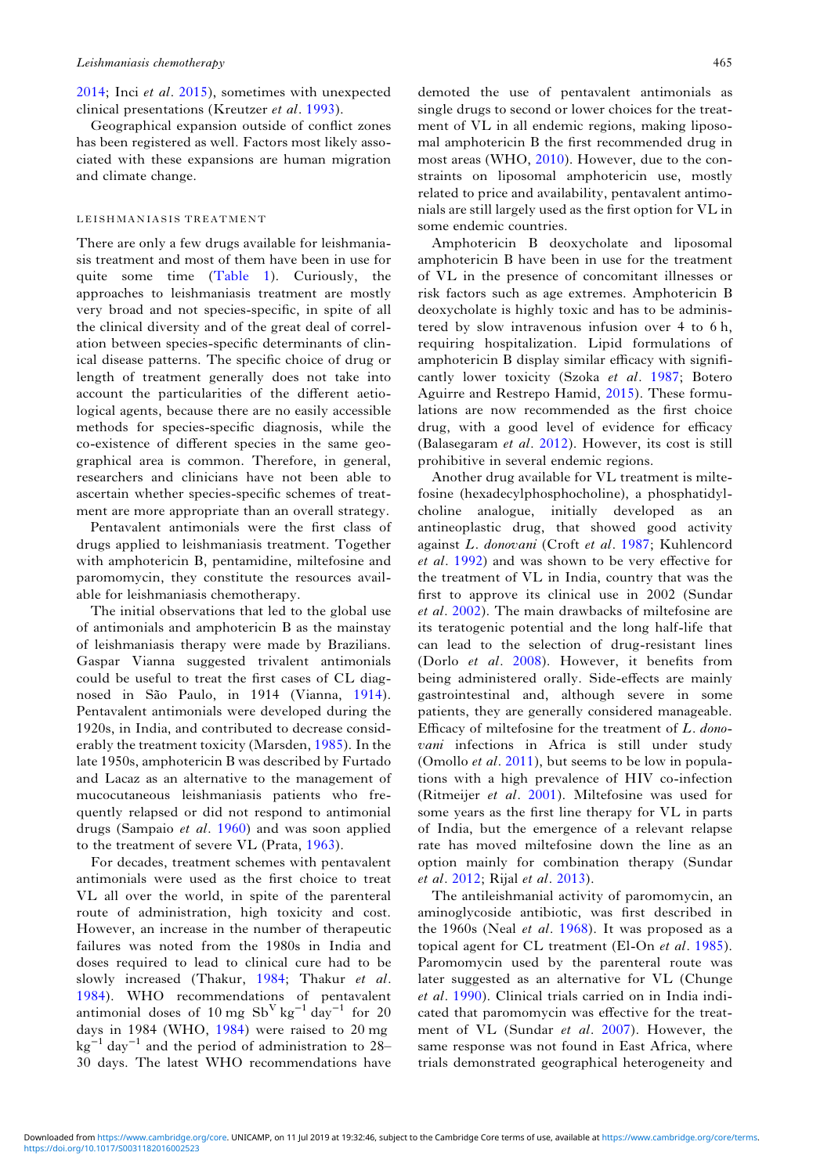$2014$ ; Inci *et al.*  $2015$ ), sometimes with unexpected clinical presentations (Kreutzer et al. [1993](#page-12-0)).

Geographical expansion outside of conflict zones has been registered as well. Factors most likely associated with these expansions are human migration and climate change.

### LEISHMANIASIS TREATMENT

There are only a few drugs available for leishmaniasis treatment and most of them have been in use for quite some time ([Table 1\)](#page-2-0). Curiously, the approaches to leishmaniasis treatment are mostly very broad and not species-specific, in spite of all the clinical diversity and of the great deal of correlation between species-specific determinants of clinical disease patterns. The specific choice of drug or length of treatment generally does not take into account the particularities of the different aetiological agents, because there are no easily accessible methods for species-specific diagnosis, while the co-existence of different species in the same geographical area is common. Therefore, in general, researchers and clinicians have not been able to ascertain whether species-specific schemes of treatment are more appropriate than an overall strategy.

Pentavalent antimonials were the first class of drugs applied to leishmaniasis treatment. Together with amphotericin B, pentamidine, miltefosine and paromomycin, they constitute the resources available for leishmaniasis chemotherapy.

The initial observations that led to the global use of antimonials and amphotericin B as the mainstay of leishmaniasis therapy were made by Brazilians. Gaspar Vianna suggested trivalent antimonials could be useful to treat the first cases of CL diagnosed in São Paulo, in 1914 (Vianna, [1914\)](#page-16-0). Pentavalent antimonials were developed during the 1920s, in India, and contributed to decrease considerably the treatment toxicity (Marsden, [1985](#page-13-0)). In the late 1950s, amphotericin B was described by Furtado and Lacaz as an alternative to the management of mucocutaneous leishmaniasis patients who frequently relapsed or did not respond to antimonial drugs (Sampaio et al. [1960](#page-15-0)) and was soon applied to the treatment of severe VL (Prata, [1963](#page-14-0)).

For decades, treatment schemes with pentavalent antimonials were used as the first choice to treat VL all over the world, in spite of the parenteral route of administration, high toxicity and cost. However, an increase in the number of therapeutic failures was noted from the 1980s in India and doses required to lead to clinical cure had to be slowly increased (Thakur, [1984](#page-15-0); Thakur et al. [1984\)](#page-15-0). WHO recommendations of pentavalent antimonial doses of 10 mg Sb<sup>V</sup> kg<sup>-1</sup> day<sup>-1</sup> for 20 days in 1984 (WHO, [1984](#page-16-0)) were raised to 20 mg  $kg^{-1}$  day<sup>-1</sup> and the period of administration to 28– 30 days. The latest WHO recommendations have demoted the use of pentavalent antimonials as single drugs to second or lower choices for the treatment of VL in all endemic regions, making liposomal amphotericin B the first recommended drug in most areas (WHO, [2010](#page-16-0)). However, due to the constraints on liposomal amphotericin use, mostly related to price and availability, pentavalent antimonials are still largely used as the first option for VL in some endemic countries.

Amphotericin B deoxycholate and liposomal amphotericin B have been in use for the treatment of VL in the presence of concomitant illnesses or risk factors such as age extremes. Amphotericin B deoxycholate is highly toxic and has to be administered by slow intravenous infusion over 4 to 6 h, requiring hospitalization. Lipid formulations of amphotericin B display similar efficacy with significantly lower toxicity (Szoka et al. [1987;](#page-15-0) Botero Aguirre and Restrepo Hamid, [2015\)](#page-10-0). These formulations are now recommended as the first choice drug, with a good level of evidence for efficacy (Balasegaram et al. [2012](#page-10-0)). However, its cost is still prohibitive in several endemic regions.

Another drug available for VL treatment is miltefosine (hexadecylphosphocholine), a phosphatidylcholine analogue, initially developed as an antineoplastic drug, that showed good activity against L. donovani (Croft et al. [1987;](#page-11-0) Kuhlencord et al. [1992\)](#page-12-0) and was shown to be very effective for the treatment of VL in India, country that was the first to approve its clinical use in 2002 (Sundar et al. [2002\)](#page-15-0). The main drawbacks of miltefosine are its teratogenic potential and the long half-life that can lead to the selection of drug-resistant lines (Dorlo et al. [2008](#page-11-0)). However, it benefits from being administered orally. Side-effects are mainly gastrointestinal and, although severe in some patients, they are generally considered manageable. Efficacy of miltefosine for the treatment of L. donovani infections in Africa is still under study (Omollo et al. [2011\)](#page-14-0), but seems to be low in populations with a high prevalence of HIV co-infection (Ritmeijer et al. [2001](#page-14-0)). Miltefosine was used for some years as the first line therapy for VL in parts of India, but the emergence of a relevant relapse rate has moved miltefosine down the line as an option mainly for combination therapy (Sundar et al. [2012;](#page-15-0) Rijal et al. [2013\)](#page-14-0).

The antileishmanial activity of paromomycin, an aminoglycoside antibiotic, was first described in the 1960s (Neal et al. [1968](#page-13-0)). It was proposed as a topical agent for CL treatment (El-On et al. [1985\)](#page-11-0). Paromomycin used by the parenteral route was later suggested as an alternative for VL (Chunge et al. [1990](#page-10-0)). Clinical trials carried on in India indicated that paromomycin was effective for the treatment of VL (Sundar et al. [2007\)](#page-15-0). However, the same response was not found in East Africa, where trials demonstrated geographical heterogeneity and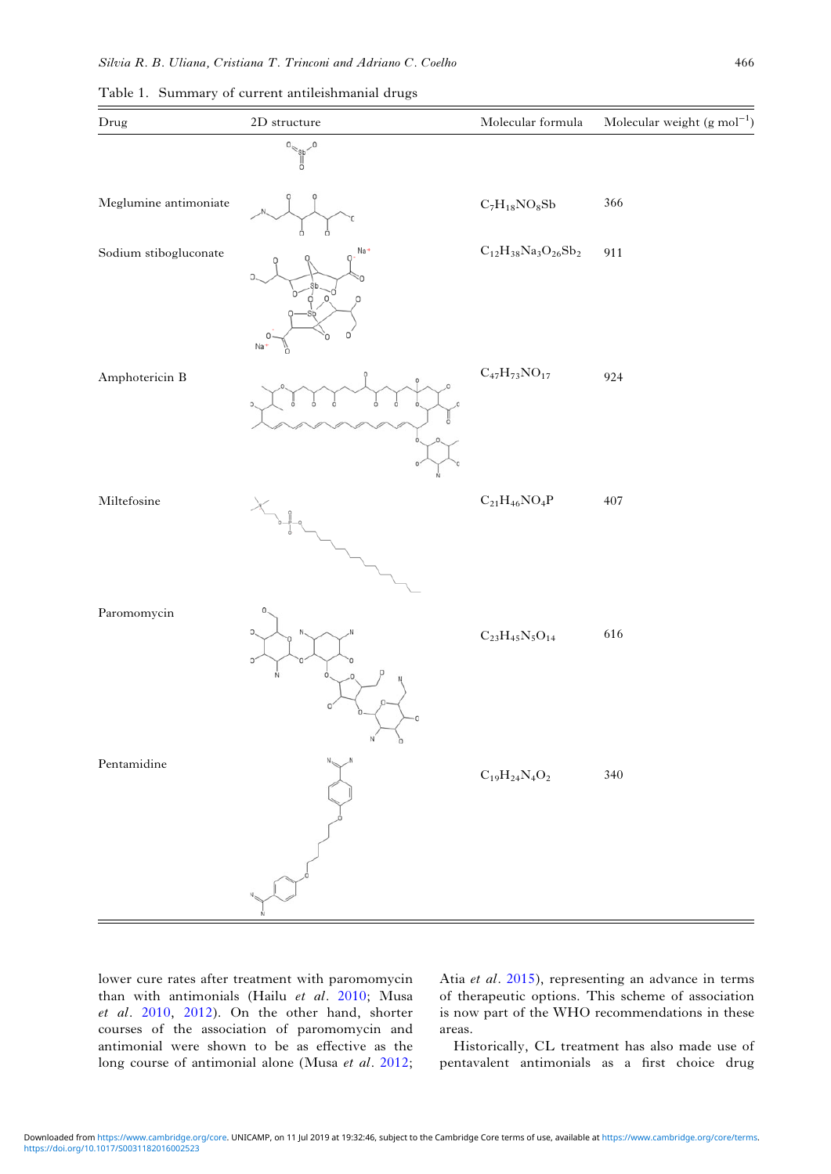| $\mathop{\rm Drug}\nolimits$ | $2\mathrm{D}$ structure      | $\operatorname{Molecular}$ formula         | Molecular weight $(g \text{ mol}^{-1})$ |
|------------------------------|------------------------------|--------------------------------------------|-----------------------------------------|
|                              | $0 \approx_{\text{sp}} 0$    |                                            |                                         |
| Meglumine antimoniate        |                              | $\rm{C_7H_{18}NO_8Sb}$                     | 366                                     |
| Sodium stibogluconate        | Na '<br>C<br>Na <sup>-</sup> | $C_{12}H_{38}Na_3O_{26}Sb_2$               | 911                                     |
| Amphotericin B               | ó                            | $C_{47}H_{73}NO_{17}$                      | 924                                     |
| Miltefosine                  |                              | $\rm{C}_{21}\rm{H}_{46}\rm{NO}_{4}\rm{P}$  | 407                                     |
| Paromomycin                  | O<br>0.<br>o                 | $C_{23}H_{45}N_5O_{14}$                    | 616                                     |
| Pentamidine                  |                              | $\rm{C}_{19}\rm{H}_{24}\rm{N}_{4}\rm{O}_2$ | 340                                     |

<span id="page-2-0"></span>Table 1. Summary of current antileishmanial drugs

lower cure rates after treatment with paromomycin than with antimonials (Hailu et al. [2010;](#page-12-0) Musa et al. [2010](#page-13-0), [2012](#page-13-0)). On the other hand, shorter courses of the association of paromomycin and antimonial were shown to be as effective as the long course of antimonial alone (Musa et al. [2012;](#page-13-0) Atia et al. [2015\)](#page-10-0), representing an advance in terms of therapeutic options. This scheme of association is now part of the WHO recommendations in these areas.

Historically, CL treatment has also made use of pentavalent antimonials as a first choice drug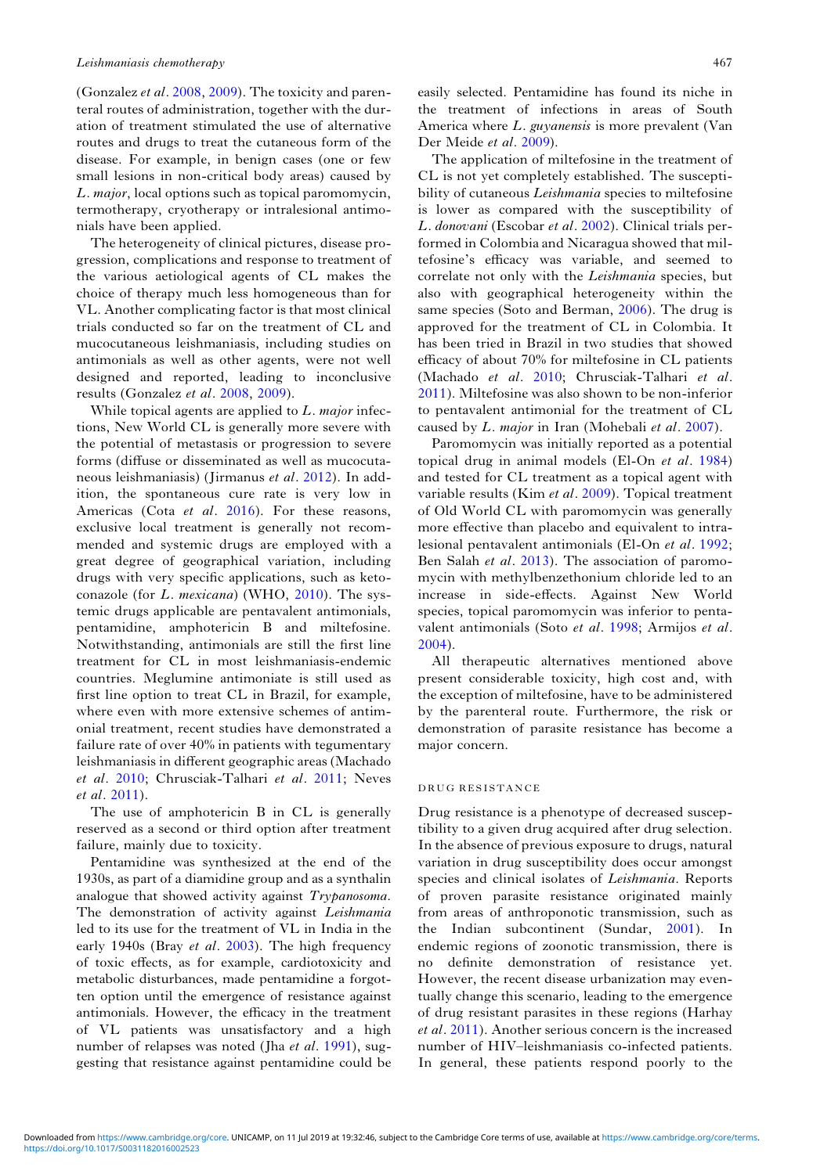(Gonzalez et al. [2008](#page-11-0), [2009](#page-11-0)). The toxicity and parenteral routes of administration, together with the duration of treatment stimulated the use of alternative routes and drugs to treat the cutaneous form of the disease. For example, in benign cases (one or few small lesions in non-critical body areas) caused by L. major, local options such as topical paromomycin, termotherapy, cryotherapy or intralesional antimonials have been applied.

The heterogeneity of clinical pictures, disease progression, complications and response to treatment of the various aetiological agents of CL makes the choice of therapy much less homogeneous than for VL. Another complicating factor is that most clinical trials conducted so far on the treatment of CL and mucocutaneous leishmaniasis, including studies on antimonials as well as other agents, were not well designed and reported, leading to inconclusive results (Gonzalez et al. [2008](#page-11-0), [2009](#page-11-0)).

While topical agents are applied to  $L$ . *major* infections, New World CL is generally more severe with the potential of metastasis or progression to severe forms (diffuse or disseminated as well as mucocutaneous leishmaniasis) (Jirmanus et al. [2012\)](#page-12-0). In addition, the spontaneous cure rate is very low in Americas (Cota et al. [2016\)](#page-11-0). For these reasons, exclusive local treatment is generally not recommended and systemic drugs are employed with a great degree of geographical variation, including drugs with very specific applications, such as ketoconazole (for L. mexicana) (WHO, [2010\)](#page-16-0). The systemic drugs applicable are pentavalent antimonials, pentamidine, amphotericin B and miltefosine. Notwithstanding, antimonials are still the first line treatment for CL in most leishmaniasis-endemic countries. Meglumine antimoniate is still used as first line option to treat CL in Brazil, for example, where even with more extensive schemes of antimonial treatment, recent studies have demonstrated a failure rate of over 40% in patients with tegumentary leishmaniasis in different geographic areas (Machado et al. [2010;](#page-13-0) Chrusciak-Talhari et al. [2011;](#page-10-0) Neves et al. [2011](#page-13-0)).

The use of amphotericin B in CL is generally reserved as a second or third option after treatment failure, mainly due to toxicity.

Pentamidine was synthesized at the end of the 1930s, as part of a diamidine group and as a synthalin analogue that showed activity against Trypanosoma. The demonstration of activity against Leishmania led to its use for the treatment of VL in India in the early 1940s (Bray *et al.* [2003](#page-10-0)). The high frequency of toxic effects, as for example, cardiotoxicity and metabolic disturbances, made pentamidine a forgotten option until the emergence of resistance against antimonials. However, the efficacy in the treatment of VL patients was unsatisfactory and a high number of relapses was noted (Jha et al. [1991](#page-12-0)), suggesting that resistance against pentamidine could be

easily selected. Pentamidine has found its niche in the treatment of infections in areas of South America where L. guyanensis is more prevalent (Van Der Meide et al. [2009\)](#page-15-0).

The application of miltefosine in the treatment of CL is not yet completely established. The susceptibility of cutaneous *Leishmania* species to miltefosine is lower as compared with the susceptibility of L. donovani (Escobar et al. [2002](#page-11-0)). Clinical trials performed in Colombia and Nicaragua showed that miltefosine's efficacy was variable, and seemed to correlate not only with the *Leishmania* species, but also with geographical heterogeneity within the same species (Soto and Berman, [2006\)](#page-15-0). The drug is approved for the treatment of CL in Colombia. It has been tried in Brazil in two studies that showed efficacy of about 70% for miltefosine in CL patients (Machado et al. [2010;](#page-13-0) Chrusciak-Talhari et al. [2011](#page-10-0)). Miltefosine was also shown to be non-inferior to pentavalent antimonial for the treatment of CL caused by L. major in Iran (Mohebali et al. [2007\)](#page-13-0).

Paromomycin was initially reported as a potential topical drug in animal models (El-On et al. [1984\)](#page-11-0) and tested for CL treatment as a topical agent with variable results (Kim et al. [2009\)](#page-12-0). Topical treatment of Old World CL with paromomycin was generally more effective than placebo and equivalent to intralesional pentavalent antimonials (El-On et al. [1992](#page-11-0); Ben Salah et al. [2013\)](#page-10-0). The association of paromomycin with methylbenzethonium chloride led to an increase in side-effects. Against New World species, topical paromomycin was inferior to pentavalent antimonials (Soto et al. [1998](#page-15-0); Armijos et al. [2004](#page-10-0)).

All therapeutic alternatives mentioned above present considerable toxicity, high cost and, with the exception of miltefosine, have to be administered by the parenteral route. Furthermore, the risk or demonstration of parasite resistance has become a major concern.

### DRUG RESISTANCE

Drug resistance is a phenotype of decreased susceptibility to a given drug acquired after drug selection. In the absence of previous exposure to drugs, natural variation in drug susceptibility does occur amongst species and clinical isolates of *Leishmania*. Reports of proven parasite resistance originated mainly from areas of anthroponotic transmission, such as the Indian subcontinent (Sundar, [2001](#page-15-0)). In endemic regions of zoonotic transmission, there is no definite demonstration of resistance yet. However, the recent disease urbanization may eventually change this scenario, leading to the emergence of drug resistant parasites in these regions (Harhay et al. [2011](#page-12-0)). Another serious concern is the increased number of HIV–leishmaniasis co-infected patients. In general, these patients respond poorly to the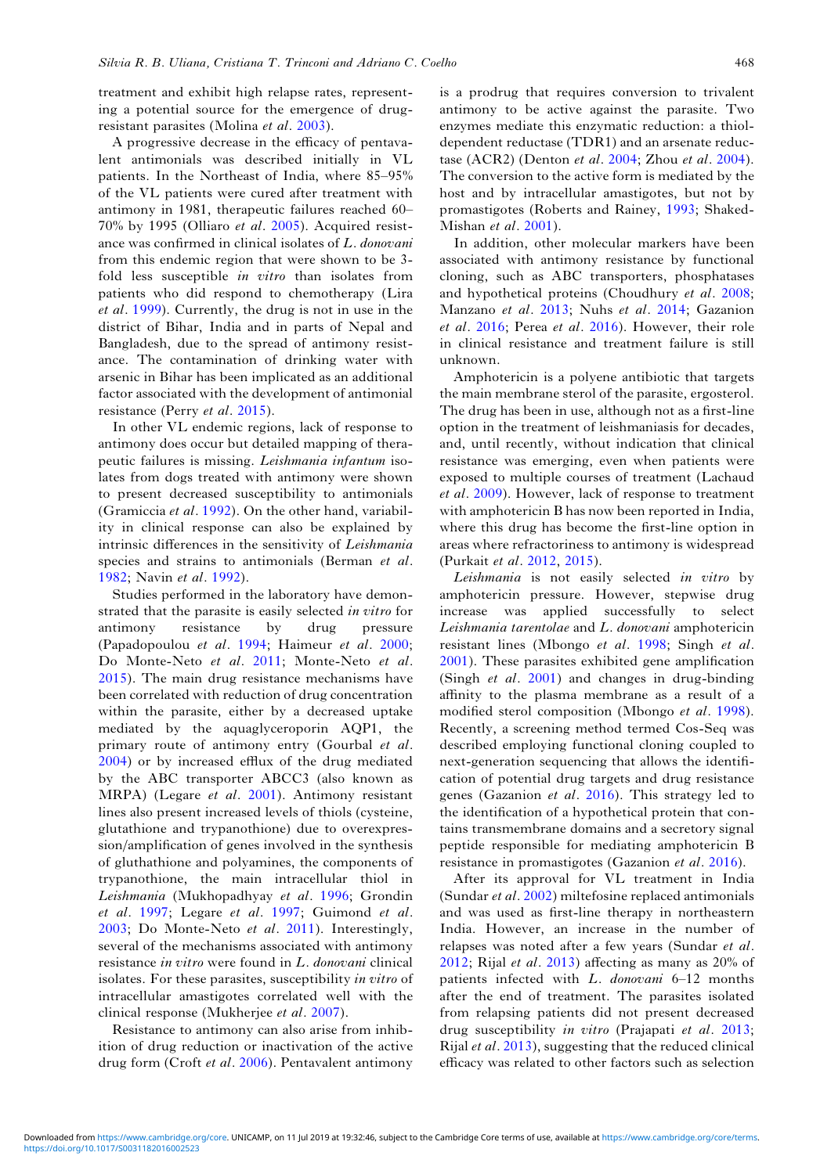treatment and exhibit high relapse rates, representing a potential source for the emergence of drugresistant parasites (Molina et al. [2003](#page-13-0)).

A progressive decrease in the efficacy of pentavalent antimonials was described initially in VL patients. In the Northeast of India, where 85–95% of the VL patients were cured after treatment with antimony in 1981, therapeutic failures reached 60–  $70\%$  by 1995 (Olliaro *et al.* [2005](#page-14-0)). Acquired resistance was confirmed in clinical isolates of L. donovani from this endemic region that were shown to be 3 fold less susceptible *in vitro* than isolates from patients who did respond to chemotherapy (Lira et al. [1999\)](#page-13-0). Currently, the drug is not in use in the district of Bihar, India and in parts of Nepal and Bangladesh, due to the spread of antimony resistance. The contamination of drinking water with arsenic in Bihar has been implicated as an additional factor associated with the development of antimonial resistance (Perry et al. [2015\)](#page-14-0).

In other VL endemic regions, lack of response to antimony does occur but detailed mapping of therapeutic failures is missing. Leishmania infantum isolates from dogs treated with antimony were shown to present decreased susceptibility to antimonials (Gramiccia et al. [1992\)](#page-12-0). On the other hand, variability in clinical response can also be explained by intrinsic differences in the sensitivity of Leishmania species and strains to antimonials (Berman et al. [1982](#page-10-0); Navin et al. [1992](#page-13-0)).

Studies performed in the laboratory have demonstrated that the parasite is easily selected in vitro for antimony resistance by drug pressure (Papadopoulou et al. [1994](#page-14-0); Haimeur et al. [2000;](#page-12-0) Do Monte-Neto et al. [2011;](#page-11-0) Monte-Neto et al. [2015](#page-13-0)). The main drug resistance mechanisms have been correlated with reduction of drug concentration within the parasite, either by a decreased uptake mediated by the aquaglyceroporin AQP1, the primary route of antimony entry (Gourbal et al. [2004](#page-12-0)) or by increased efflux of the drug mediated by the ABC transporter ABCC3 (also known as MRPA) (Legare et al. [2001\)](#page-12-0). Antimony resistant lines also present increased levels of thiols (cysteine, glutathione and trypanothione) due to overexpression/amplification of genes involved in the synthesis of gluthathione and polyamines, the components of trypanothione, the main intracellular thiol in Leishmania (Mukhopadhyay et al. [1996](#page-13-0); Grondin et al. [1997;](#page-12-0) Legare et al. [1997](#page-12-0); Guimond et al. [2003](#page-12-0); Do Monte-Neto et al. [2011\)](#page-11-0). Interestingly, several of the mechanisms associated with antimony resistance in vitro were found in L. donovani clinical isolates. For these parasites, susceptibility in vitro of intracellular amastigotes correlated well with the clinical response (Mukherjee et al. [2007\)](#page-13-0).

Resistance to antimony can also arise from inhibition of drug reduction or inactivation of the active drug form (Croft et al. [2006](#page-11-0)). Pentavalent antimony

is a prodrug that requires conversion to trivalent antimony to be active against the parasite. Two enzymes mediate this enzymatic reduction: a thioldependent reductase (TDR1) and an arsenate reductase (ACR2) (Denton et al. [2004;](#page-11-0) Zhou et al. [2004](#page-16-0)). The conversion to the active form is mediated by the host and by intracellular amastigotes, but not by promastigotes (Roberts and Rainey, [1993](#page-15-0); Shaked-Mishan et al. [2001](#page-15-0)).

In addition, other molecular markers have been associated with antimony resistance by functional cloning, such as ABC transporters, phosphatases and hypothetical proteins (Choudhury et al. [2008;](#page-10-0) Manzano et al. [2013;](#page-13-0) Nuhs et al. [2014;](#page-14-0) Gazanion et al. [2016;](#page-11-0) Perea et al. [2016](#page-14-0)). However, their role in clinical resistance and treatment failure is still unknown.

Amphotericin is a polyene antibiotic that targets the main membrane sterol of the parasite, ergosterol. The drug has been in use, although not as a first-line option in the treatment of leishmaniasis for decades, and, until recently, without indication that clinical resistance was emerging, even when patients were exposed to multiple courses of treatment (Lachaud et al. [2009](#page-12-0)). However, lack of response to treatment with amphotericin B has now been reported in India, where this drug has become the first-line option in areas where refractoriness to antimony is widespread (Purkait et al. [2012,](#page-14-0) [2015](#page-14-0)).

Leishmania is not easily selected in vitro by amphotericin pressure. However, stepwise drug increase was applied successfully to select Leishmania tarentolae and L. donovani amphotericin resistant lines (Mbongo et al. [1998;](#page-13-0) Singh et al. [2001\)](#page-15-0). These parasites exhibited gene amplification (Singh et al. [2001](#page-15-0)) and changes in drug-binding affinity to the plasma membrane as a result of a modified sterol composition (Mbongo et al. [1998](#page-13-0)). Recently, a screening method termed Cos-Seq was described employing functional cloning coupled to next-generation sequencing that allows the identification of potential drug targets and drug resistance genes (Gazanion et al. [2016](#page-11-0)). This strategy led to the identification of a hypothetical protein that contains transmembrane domains and a secretory signal peptide responsible for mediating amphotericin B resistance in promastigotes (Gazanion et al. [2016\)](#page-11-0).

After its approval for VL treatment in India (Sundar et al. [2002\)](#page-15-0) miltefosine replaced antimonials and was used as first-line therapy in northeastern India. However, an increase in the number of relapses was noted after a few years (Sundar et al. [2012;](#page-15-0) Rijal et al. [2013](#page-14-0)) affecting as many as  $20\%$  of patients infected with L. donovani 6-12 months after the end of treatment. The parasites isolated from relapsing patients did not present decreased drug susceptibility in vitro (Prajapati et al. [2013;](#page-14-0) Rijal et al. [2013](#page-14-0)), suggesting that the reduced clinical efficacy was related to other factors such as selection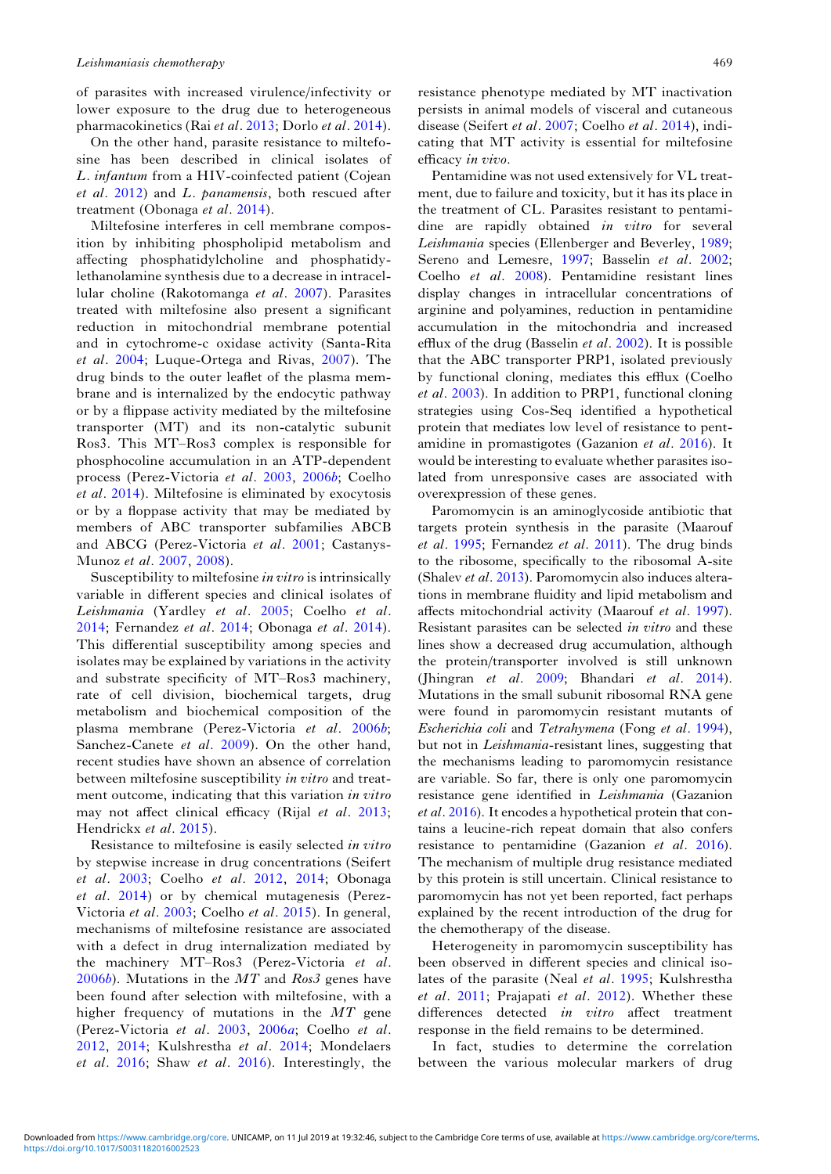of parasites with increased virulence/infectivity or lower exposure to the drug due to heterogeneous pharmacokinetics (Rai et al. [2013](#page-14-0); Dorlo et al. [2014\)](#page-11-0).

On the other hand, parasite resistance to miltefosine has been described in clinical isolates of L. infantum from a HIV-coinfected patient (Cojean et al. [2012\)](#page-11-0) and L. panamensis, both rescued after treatment (Obonaga et al. [2014](#page-14-0)).

Miltefosine interferes in cell membrane composition by inhibiting phospholipid metabolism and affecting phosphatidylcholine and phosphatidylethanolamine synthesis due to a decrease in intracellular choline (Rakotomanga et al. [2007](#page-14-0)). Parasites treated with miltefosine also present a significant reduction in mitochondrial membrane potential and in cytochrome-c oxidase activity (Santa-Rita et al. [2004](#page-15-0); Luque-Ortega and Rivas, [2007](#page-13-0)). The drug binds to the outer leaflet of the plasma membrane and is internalized by the endocytic pathway or by a flippase activity mediated by the miltefosine transporter (MT) and its non-catalytic subunit Ros3. This MT–Ros3 complex is responsible for phosphocoline accumulation in an ATP-dependent process (Perez-Victoria et al. [2003](#page-14-0), [2006](#page-14-0)b; Coelho et al. [2014](#page-11-0)). Miltefosine is eliminated by exocytosis or by a floppase activity that may be mediated by members of ABC transporter subfamilies ABCB and ABCG (Perez-Victoria et al. [2001](#page-14-0); Castanys-Munoz et al. [2007](#page-10-0), [2008](#page-10-0)).

Susceptibility to miltefosine *in vitro* is intrinsically variable in different species and clinical isolates of Leishmania (Yardley et al. [2005](#page-16-0); Coelho et al. [2014;](#page-11-0) Fernandez et al.  $2014$ ; Obonaga et al.  $2014$ ). This differential susceptibility among species and isolates may be explained by variations in the activity and substrate specificity of MT–Ros3 machinery, rate of cell division, biochemical targets, drug metabolism and biochemical composition of the plasma membrane (Perez-Victoria et al. [2006](#page-14-0)b; Sanchez-Canete et al. [2009\)](#page-15-0). On the other hand, recent studies have shown an absence of correlation between miltefosine susceptibility in vitro and treatment outcome, indicating that this variation in vitro may not affect clinical efficacy (Rijal et al. [2013](#page-14-0); Hendrickx et al. [2015](#page-12-0)).

Resistance to miltefosine is easily selected in vitro by stepwise increase in drug concentrations (Seifert et al. [2003;](#page-15-0) Coelho et al. [2012,](#page-10-0) [2014;](#page-11-0) Obonaga et al. [2014\)](#page-14-0) or by chemical mutagenesis (Perez-Victoria et al. [2003](#page-14-0); Coelho et al. [2015](#page-11-0)). In general, mechanisms of miltefosine resistance are associated with a defect in drug internalization mediated by the machinery MT–Ros3 (Perez-Victoria et al.  $2006b$  $2006b$ ). Mutations in the MT and Ros3 genes have been found after selection with miltefosine, with a higher frequency of mutations in the MT gene (Perez-Victoria et al. [2003,](#page-14-0) [2006](#page-14-0)a; Coelho et al. [2012,](#page-10-0) [2014;](#page-11-0) Kulshrestha et al. [2014;](#page-12-0) Mondelaers et al. [2016](#page-13-0); Shaw et al. [2016](#page-15-0)). Interestingly, the resistance phenotype mediated by MT inactivation persists in animal models of visceral and cutaneous disease (Seifert et al. [2007](#page-15-0); Coelho et al. [2014\)](#page-11-0), indicating that MT activity is essential for miltefosine efficacy in vivo.

Pentamidine was not used extensively for VL treatment, due to failure and toxicity, but it has its place in the treatment of CL. Parasites resistant to pentamidine are rapidly obtained in vitro for several Leishmania species (Ellenberger and Beverley, [1989](#page-11-0); Sereno and Lemesre, [1997](#page-15-0); Basselin et al. [2002](#page-10-0); Coelho et al. [2008](#page-10-0)). Pentamidine resistant lines display changes in intracellular concentrations of arginine and polyamines, reduction in pentamidine accumulation in the mitochondria and increased efflux of the drug (Basselin et al.  $2002$ ). It is possible that the ABC transporter PRP1, isolated previously by functional cloning, mediates this efflux (Coelho et al. [2003\)](#page-10-0). In addition to PRP1, functional cloning strategies using Cos-Seq identified a hypothetical protein that mediates low level of resistance to pentamidine in promastigotes (Gazanion et al. [2016](#page-11-0)). It would be interesting to evaluate whether parasites isolated from unresponsive cases are associated with overexpression of these genes.

Paromomycin is an aminoglycoside antibiotic that targets protein synthesis in the parasite (Maarouf et al. [1995](#page-13-0); Fernandez et al. [2011](#page-11-0)). The drug binds to the ribosome, specifically to the ribosomal A-site (Shalev et al. [2013\)](#page-15-0). Paromomycin also induces alterations in membrane fluidity and lipid metabolism and affects mitochondrial activity (Maarouf et al. [1997\)](#page-13-0). Resistant parasites can be selected in vitro and these lines show a decreased drug accumulation, although the protein/transporter involved is still unknown (Jhingran et al. [2009](#page-12-0); Bhandari et al. [2014\)](#page-10-0). Mutations in the small subunit ribosomal RNA gene were found in paromomycin resistant mutants of Escherichia coli and Tetrahymena (Fong et al. [1994\)](#page-11-0), but not in Leishmania-resistant lines, suggesting that the mechanisms leading to paromomycin resistance are variable. So far, there is only one paromomycin resistance gene identified in Leishmania (Gazanion et al. [2016](#page-11-0)). It encodes a hypothetical protein that contains a leucine-rich repeat domain that also confers resistance to pentamidine (Gazanion et al. [2016\)](#page-11-0). The mechanism of multiple drug resistance mediated by this protein is still uncertain. Clinical resistance to paromomycin has not yet been reported, fact perhaps explained by the recent introduction of the drug for the chemotherapy of the disease.

Heterogeneity in paromomycin susceptibility has been observed in different species and clinical isolates of the parasite (Neal et al. [1995](#page-13-0); Kulshrestha et al. [2011](#page-12-0); Prajapati et al. [2012\)](#page-14-0). Whether these differences detected in vitro affect treatment response in the field remains to be determined.

In fact, studies to determine the correlation between the various molecular markers of drug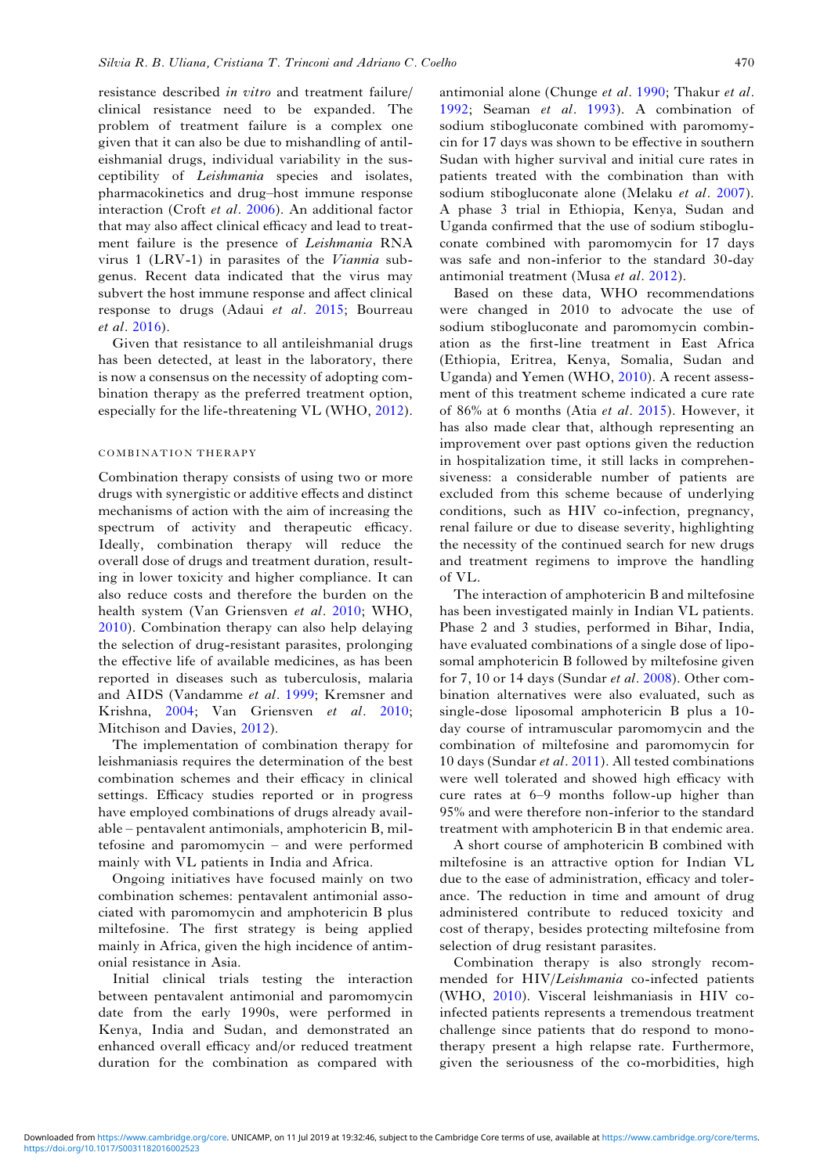resistance described in vitro and treatment failure/ clinical resistance need to be expanded. The problem of treatment failure is a complex one given that it can also be due to mishandling of antileishmanial drugs, individual variability in the susceptibility of Leishmania species and isolates, pharmacokinetics and drug–host immune response interaction (Croft et al. [2006](#page-11-0)). An additional factor that may also affect clinical efficacy and lead to treatment failure is the presence of Leishmania RNA virus 1 (LRV-1) in parasites of the Viannia subgenus. Recent data indicated that the virus may subvert the host immune response and affect clinical response to drugs (Adaui et al. [2015;](#page-10-0) Bourreau et al. [2016\)](#page-10-0).

Given that resistance to all antileishmanial drugs has been detected, at least in the laboratory, there is now a consensus on the necessity of adopting combination therapy as the preferred treatment option, especially for the life-threatening VL (WHO, [2012\)](#page-16-0).

### COMBINATION THERAPY

Combination therapy consists of using two or more drugs with synergistic or additive effects and distinct mechanisms of action with the aim of increasing the spectrum of activity and therapeutic efficacy. Ideally, combination therapy will reduce the overall dose of drugs and treatment duration, resulting in lower toxicity and higher compliance. It can also reduce costs and therefore the burden on the health system (Van Griensven et al. [2010;](#page-15-0) WHO, [2010](#page-16-0)). Combination therapy can also help delaying the selection of drug-resistant parasites, prolonging the effective life of available medicines, as has been reported in diseases such as tuberculosis, malaria and AIDS (Vandamme et al. [1999](#page-15-0); Kremsner and Krishna, [2004](#page-12-0); Van Griensven et al. [2010;](#page-15-0) Mitchison and Davies, [2012](#page-13-0)).

The implementation of combination therapy for leishmaniasis requires the determination of the best combination schemes and their efficacy in clinical settings. Efficacy studies reported or in progress have employed combinations of drugs already available – pentavalent antimonials, amphotericin B, miltefosine and paromomycin – and were performed mainly with VL patients in India and Africa.

Ongoing initiatives have focused mainly on two combination schemes: pentavalent antimonial associated with paromomycin and amphotericin B plus miltefosine. The first strategy is being applied mainly in Africa, given the high incidence of antimonial resistance in Asia.

Initial clinical trials testing the interaction between pentavalent antimonial and paromomycin date from the early 1990s, were performed in Kenya, India and Sudan, and demonstrated an enhanced overall efficacy and/or reduced treatment duration for the combination as compared with

antimonial alone (Chunge et al. [1990;](#page-10-0) Thakur et al. [1992;](#page-15-0) Seaman et al. [1993](#page-15-0)). A combination of sodium stibogluconate combined with paromomycin for 17 days was shown to be effective in southern Sudan with higher survival and initial cure rates in patients treated with the combination than with sodium stibogluconate alone (Melaku et al. [2007](#page-13-0)). A phase 3 trial in Ethiopia, Kenya, Sudan and Uganda confirmed that the use of sodium stibogluconate combined with paromomycin for 17 days was safe and non-inferior to the standard 30-day antimonial treatment (Musa et al. [2012\)](#page-13-0).

Based on these data, WHO recommendations were changed in 2010 to advocate the use of sodium stibogluconate and paromomycin combination as the first-line treatment in East Africa (Ethiopia, Eritrea, Kenya, Somalia, Sudan and Uganda) and Yemen (WHO, [2010\)](#page-16-0). A recent assessment of this treatment scheme indicated a cure rate of 86% at 6 months (Atia et al. [2015](#page-10-0)). However, it has also made clear that, although representing an improvement over past options given the reduction in hospitalization time, it still lacks in comprehensiveness: a considerable number of patients are excluded from this scheme because of underlying conditions, such as HIV co-infection, pregnancy, renal failure or due to disease severity, highlighting the necessity of the continued search for new drugs and treatment regimens to improve the handling of VL.

The interaction of amphotericin B and miltefosine has been investigated mainly in Indian VL patients. Phase 2 and 3 studies, performed in Bihar, India, have evaluated combinations of a single dose of liposomal amphotericin B followed by miltefosine given for 7, 10 or 14 days (Sundar et al. [2008](#page-15-0)). Other combination alternatives were also evaluated, such as single-dose liposomal amphotericin B plus a 10 day course of intramuscular paromomycin and the combination of miltefosine and paromomycin for 10 days (Sundar et al. [2011](#page-15-0)). All tested combinations were well tolerated and showed high efficacy with cure rates at 6–9 months follow-up higher than 95% and were therefore non-inferior to the standard treatment with amphotericin B in that endemic area.

A short course of amphotericin B combined with miltefosine is an attractive option for Indian VL due to the ease of administration, efficacy and tolerance. The reduction in time and amount of drug administered contribute to reduced toxicity and cost of therapy, besides protecting miltefosine from selection of drug resistant parasites.

Combination therapy is also strongly recommended for HIV/Leishmania co-infected patients (WHO, [2010](#page-16-0)). Visceral leishmaniasis in HIV coinfected patients represents a tremendous treatment challenge since patients that do respond to monotherapy present a high relapse rate. Furthermore, given the seriousness of the co-morbidities, high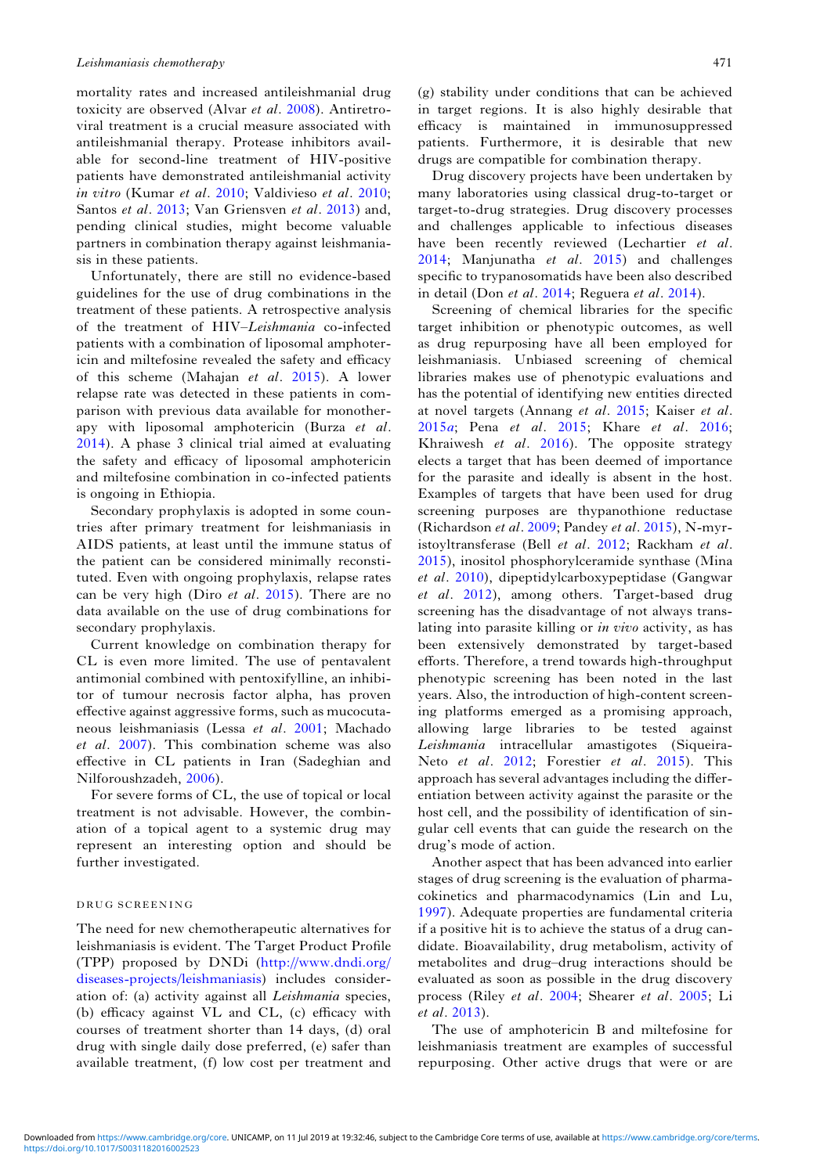mortality rates and increased antileishmanial drug toxicity are observed (Alvar et al. [2008](#page-10-0)). Antiretroviral treatment is a crucial measure associated with antileishmanial therapy. Protease inhibitors available for second-line treatment of HIV-positive patients have demonstrated antileishmanial activity in vitro (Kumar et al. [2010](#page-12-0); Valdivieso et al. [2010](#page-15-0); Santos et al. [2013](#page-15-0); Van Griensven et al. [2013\)](#page-15-0) and, pending clinical studies, might become valuable partners in combination therapy against leishmaniasis in these patients.

Unfortunately, there are still no evidence-based guidelines for the use of drug combinations in the treatment of these patients. A retrospective analysis of the treatment of HIV–Leishmania co-infected patients with a combination of liposomal amphotericin and miltefosine revealed the safety and efficacy of this scheme (Mahajan et al. [2015\)](#page-13-0). A lower relapse rate was detected in these patients in comparison with previous data available for monotherapy with liposomal amphotericin (Burza et al. [2014\)](#page-10-0). A phase 3 clinical trial aimed at evaluating the safety and efficacy of liposomal amphotericin and miltefosine combination in co-infected patients is ongoing in Ethiopia.

Secondary prophylaxis is adopted in some countries after primary treatment for leishmaniasis in AIDS patients, at least until the immune status of the patient can be considered minimally reconstituted. Even with ongoing prophylaxis, relapse rates can be very high (Diro et al. [2015\)](#page-11-0). There are no data available on the use of drug combinations for secondary prophylaxis.

Current knowledge on combination therapy for CL is even more limited. The use of pentavalent antimonial combined with pentoxifylline, an inhibitor of tumour necrosis factor alpha, has proven effective against aggressive forms, such as mucocutaneous leishmaniasis (Lessa et al. [2001;](#page-12-0) Machado et al. [2007\)](#page-13-0). This combination scheme was also effective in CL patients in Iran (Sadeghian and Nilforoushzadeh, [2006](#page-15-0)).

For severe forms of CL, the use of topical or local treatment is not advisable. However, the combination of a topical agent to a systemic drug may represent an interesting option and should be further investigated.

### DRUG SCREENING

The need for new chemotherapeutic alternatives for leishmaniasis is evident. The Target Product Profile (TPP) proposed by DNDi ([http://www.dndi.org/](http://www.dndi.org/diseases-projects/leishmaniasis) [diseases-projects/leishmaniasis](http://www.dndi.org/diseases-projects/leishmaniasis)) includes consideration of: (a) activity against all Leishmania species, (b) efficacy against VL and CL, (c) efficacy with courses of treatment shorter than 14 days, (d) oral drug with single daily dose preferred, (e) safer than available treatment, (f) low cost per treatment and

(g) stability under conditions that can be achieved in target regions. It is also highly desirable that efficacy is maintained in immunosuppressed patients. Furthermore, it is desirable that new drugs are compatible for combination therapy.

Drug discovery projects have been undertaken by many laboratories using classical drug-to-target or target-to-drug strategies. Drug discovery processes and challenges applicable to infectious diseases have been recently reviewed (Lechartier et al. [2014](#page-12-0); Manjunatha *et al.* [2015\)](#page-13-0) and challenges specific to trypanosomatids have been also described in detail (Don et al. [2014](#page-11-0); Reguera et al. [2014](#page-14-0)).

Screening of chemical libraries for the specific target inhibition or phenotypic outcomes, as well as drug repurposing have all been employed for leishmaniasis. Unbiased screening of chemical libraries makes use of phenotypic evaluations and has the potential of identifying new entities directed at novel targets (Annang et al. [2015](#page-10-0); Kaiser et al. [2015](#page-12-0)a; Pena et al. [2015;](#page-14-0) Khare et al. [2016](#page-12-0); Khraiwesh et al. [2016\)](#page-12-0). The opposite strategy elects a target that has been deemed of importance for the parasite and ideally is absent in the host. Examples of targets that have been used for drug screening purposes are thypanothione reductase (Richardson et al. [2009;](#page-14-0) Pandey et al. [2015\)](#page-14-0), N-myristoyltransferase (Bell et al. [2012;](#page-10-0) Rackham et al. [2015](#page-14-0)), inositol phosphorylceramide synthase (Mina et al. [2010\)](#page-13-0), dipeptidylcarboxypeptidase (Gangwar et al. [2012\)](#page-11-0), among others. Target-based drug screening has the disadvantage of not always translating into parasite killing or in vivo activity, as has been extensively demonstrated by target-based efforts. Therefore, a trend towards high-throughput phenotypic screening has been noted in the last years. Also, the introduction of high-content screening platforms emerged as a promising approach, allowing large libraries to be tested against Leishmania intracellular amastigotes (Siqueira-Neto et al. [2012](#page-15-0); Forestier et al. [2015](#page-11-0)). This approach has several advantages including the differentiation between activity against the parasite or the host cell, and the possibility of identification of singular cell events that can guide the research on the drug's mode of action.

Another aspect that has been advanced into earlier stages of drug screening is the evaluation of pharmacokinetics and pharmacodynamics (Lin and Lu, [1997](#page-12-0)). Adequate properties are fundamental criteria if a positive hit is to achieve the status of a drug candidate. Bioavailability, drug metabolism, activity of metabolites and drug–drug interactions should be evaluated as soon as possible in the drug discovery process (Riley et al. [2004](#page-14-0); Shearer et al. [2005](#page-15-0); Li et al. [2013\)](#page-12-0).

The use of amphotericin B and miltefosine for leishmaniasis treatment are examples of successful repurposing. Other active drugs that were or are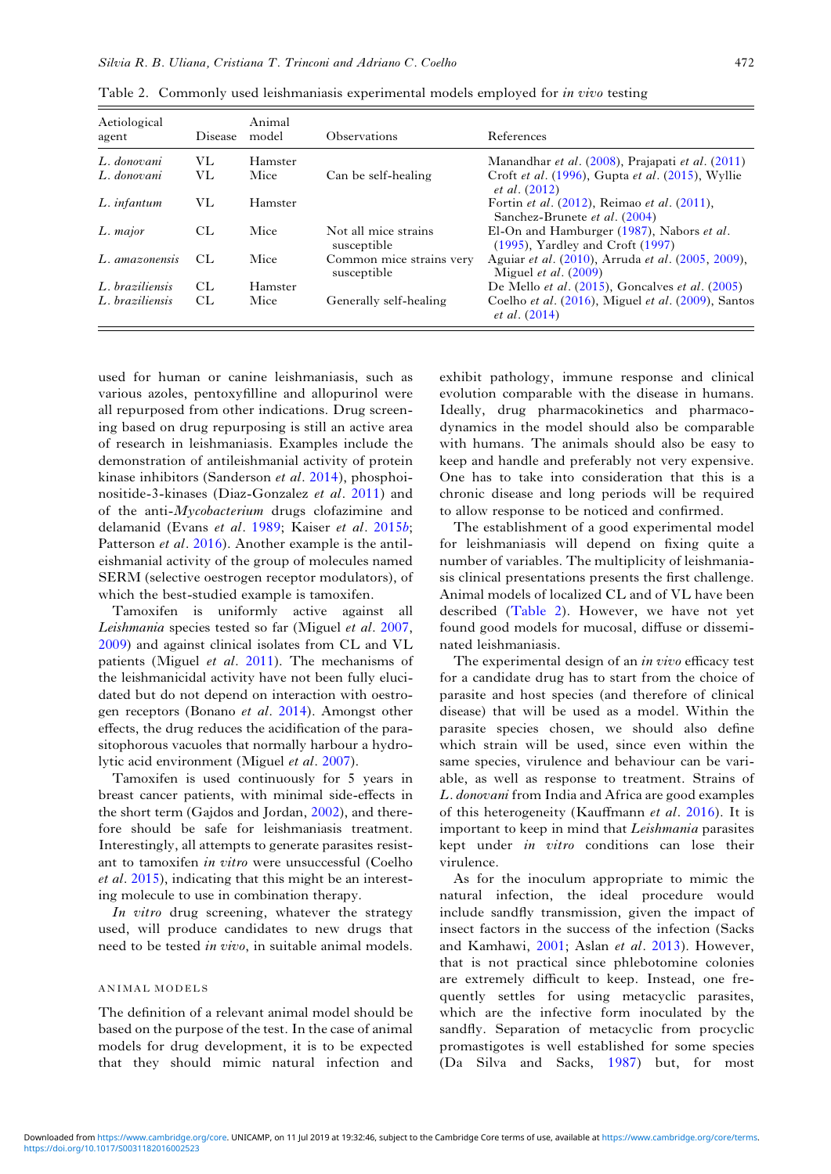| Aetiological<br>agent | Disease | Animal<br>model | <b>Observations</b>                     | References                                                                                     |
|-----------------------|---------|-----------------|-----------------------------------------|------------------------------------------------------------------------------------------------|
| L. donovani           | VL.     | Hamster         |                                         | Manandhar et al. (2008), Prajapati et al. (2011)                                               |
| L. donovani           | VL      | Mice            | Can be self-healing                     | Croft et al. (1996), Gupta et al. (2015), Wyllie<br><i>et al.</i> (2012)                       |
| L. infantum           | VL      | Hamster         |                                         | Fortin et al. (2012), Reimao et al. (2011),<br>Sanchez-Brunete et al. (2004)                   |
| L. major              | CL      | Mice            | Not all mice strains<br>susceptible     | El-On and Hamburger (1987), Nabors et al.<br>$(1995)$ , Yardley and Croft $(1997)$             |
| L. amazonensis        | CL.     | Mice            | Common mice strains very<br>susceptible | Aguiar et al. (2010), Arruda et al. (2005, 2009),<br>Miguel <i>et al.</i> $(2009)$             |
| L. braziliensis       | CL.     | Hamster         |                                         | De Mello <i>et al.</i> $(2015)$ , Goncalves <i>et al.</i> $(2005)$                             |
| L. braziliensis       | CL      | Mice            | Generally self-healing                  | Coelho <i>et al.</i> $(2016)$ , Miguel <i>et al.</i> $(2009)$ , Santos<br><i>et al.</i> (2014) |

Table 2. Commonly used leishmaniasis experimental models employed for *in vivo* testing

used for human or canine leishmaniasis, such as various azoles, pentoxyfilline and allopurinol were all repurposed from other indications. Drug screening based on drug repurposing is still an active area of research in leishmaniasis. Examples include the demonstration of antileishmanial activity of protein kinase inhibitors (Sanderson et al. [2014](#page-15-0)), phosphoinositide-3-kinases (Diaz-Gonzalez et al. [2011](#page-11-0)) and of the anti-Mycobacterium drugs clofazimine and delamanid (Evans et al. [1989](#page-11-0); Kaiser et al. [2015](#page-12-0)b; Patterson *et al.* [2016](#page-14-0)). Another example is the antileishmanial activity of the group of molecules named SERM (selective oestrogen receptor modulators), of which the best-studied example is tamoxifen.

Tamoxifen is uniformly active against all Leishmania species tested so far (Miguel et al. [2007,](#page-13-0) [2009\)](#page-13-0) and against clinical isolates from CL and VL patients (Miguel et al. [2011](#page-13-0)). The mechanisms of the leishmanicidal activity have not been fully elucidated but do not depend on interaction with oestrogen receptors (Bonano et al. [2014\)](#page-10-0). Amongst other effects, the drug reduces the acidification of the parasitophorous vacuoles that normally harbour a hydrolytic acid environment (Miguel et al. [2007](#page-13-0)).

Tamoxifen is used continuously for 5 years in breast cancer patients, with minimal side-effects in the short term (Gajdos and Jordan, [2002](#page-11-0)), and therefore should be safe for leishmaniasis treatment. Interestingly, all attempts to generate parasites resistant to tamoxifen in vitro were unsuccessful (Coelho et al. [2015](#page-11-0)), indicating that this might be an interesting molecule to use in combination therapy.

In vitro drug screening, whatever the strategy used, will produce candidates to new drugs that need to be tested in vivo, in suitable animal models.

## ANIMAL MODELS

The definition of a relevant animal model should be based on the purpose of the test. In the case of animal models for drug development, it is to be expected that they should mimic natural infection and

exhibit pathology, immune response and clinical evolution comparable with the disease in humans. Ideally, drug pharmacokinetics and pharmacodynamics in the model should also be comparable with humans. The animals should also be easy to keep and handle and preferably not very expensive. One has to take into consideration that this is a chronic disease and long periods will be required to allow response to be noticed and confirmed.

The establishment of a good experimental model for leishmaniasis will depend on fixing quite a number of variables. The multiplicity of leishmaniasis clinical presentations presents the first challenge. Animal models of localized CL and of VL have been described (Table 2). However, we have not yet found good models for mucosal, diffuse or disseminated leishmaniasis.

The experimental design of an *in vivo* efficacy test for a candidate drug has to start from the choice of parasite and host species (and therefore of clinical disease) that will be used as a model. Within the parasite species chosen, we should also define which strain will be used, since even within the same species, virulence and behaviour can be variable, as well as response to treatment. Strains of L. donovani from India and Africa are good examples of this heterogeneity (Kauffmann et al. [2016](#page-12-0)). It is important to keep in mind that Leishmania parasites kept under in vitro conditions can lose their virulence.

As for the inoculum appropriate to mimic the natural infection, the ideal procedure would include sandfly transmission, given the impact of insect factors in the success of the infection (Sacks and Kamhawi, [2001](#page-15-0); Aslan et al. [2013\)](#page-10-0). However, that is not practical since phlebotomine colonies are extremely difficult to keep. Instead, one frequently settles for using metacyclic parasites, which are the infective form inoculated by the sandfly. Separation of metacyclic from procyclic promastigotes is well established for some species (Da Silva and Sacks, [1987](#page-11-0)) but, for most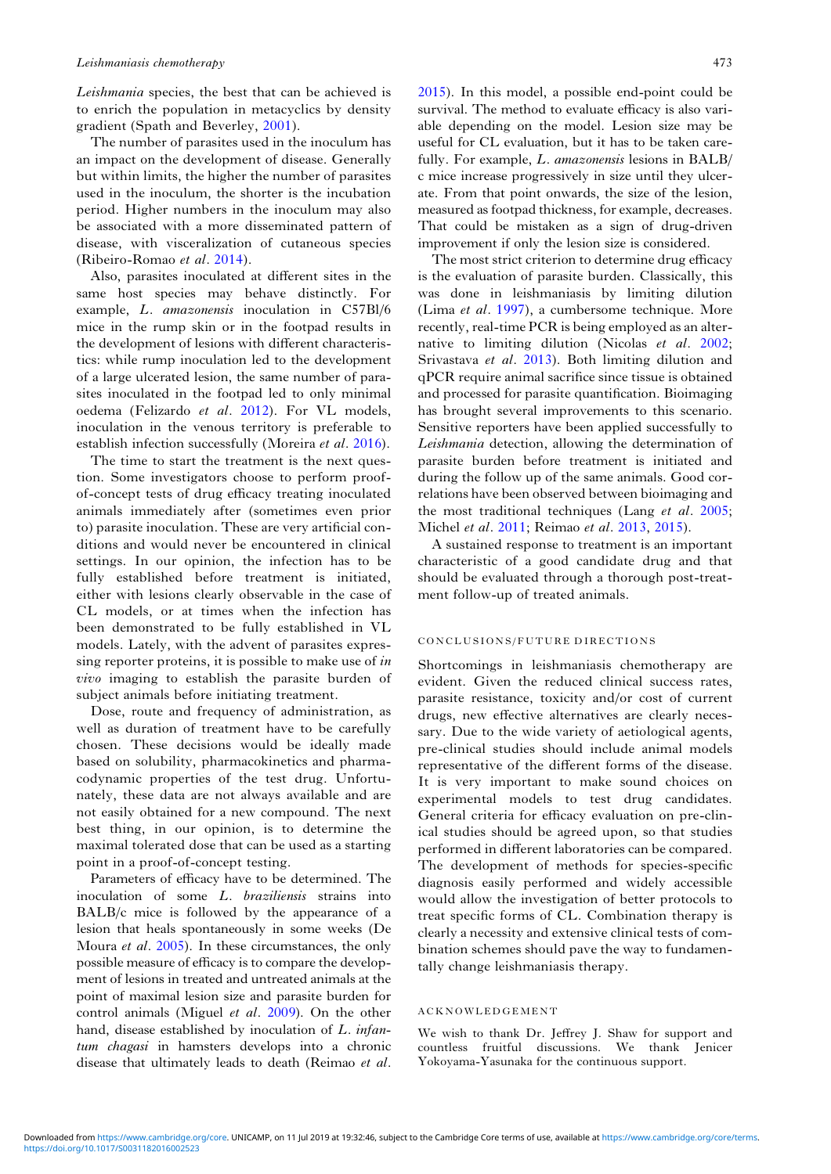Leishmania species, the best that can be achieved is to enrich the population in metacyclics by density gradient (Spath and Beverley, [2001](#page-15-0)).

The number of parasites used in the inoculum has an impact on the development of disease. Generally but within limits, the higher the number of parasites used in the inoculum, the shorter is the incubation period. Higher numbers in the inoculum may also be associated with a more disseminated pattern of disease, with visceralization of cutaneous species (Ribeiro-Romao et al. [2014](#page-14-0)).

Also, parasites inoculated at different sites in the same host species may behave distinctly. For example, L. amazonensis inoculation in C57Bl/6 mice in the rump skin or in the footpad results in the development of lesions with different characteristics: while rump inoculation led to the development of a large ulcerated lesion, the same number of parasites inoculated in the footpad led to only minimal oedema (Felizardo et al. [2012\)](#page-11-0). For VL models, inoculation in the venous territory is preferable to establish infection successfully (Moreira et al. [2016](#page-13-0)).

The time to start the treatment is the next question. Some investigators choose to perform proofof-concept tests of drug efficacy treating inoculated animals immediately after (sometimes even prior to) parasite inoculation. These are very artificial conditions and would never be encountered in clinical settings. In our opinion, the infection has to be fully established before treatment is initiated, either with lesions clearly observable in the case of CL models, or at times when the infection has been demonstrated to be fully established in VL models. Lately, with the advent of parasites expressing reporter proteins, it is possible to make use of in vivo imaging to establish the parasite burden of subject animals before initiating treatment.

Dose, route and frequency of administration, as well as duration of treatment have to be carefully chosen. These decisions would be ideally made based on solubility, pharmacokinetics and pharmacodynamic properties of the test drug. Unfortunately, these data are not always available and are not easily obtained for a new compound. The next best thing, in our opinion, is to determine the maximal tolerated dose that can be used as a starting point in a proof-of-concept testing.

Parameters of efficacy have to be determined. The inoculation of some L. braziliensis strains into BALB/c mice is followed by the appearance of a lesion that heals spontaneously in some weeks (De Moura et al. [2005](#page-11-0)). In these circumstances, the only possible measure of efficacy is to compare the development of lesions in treated and untreated animals at the point of maximal lesion size and parasite burden for control animals (Miguel et al. [2009\)](#page-13-0). On the other hand, disease established by inoculation of L. infantum chagasi in hamsters develops into a chronic disease that ultimately leads to death (Reimao et al.

[2015\)](#page-14-0). In this model, a possible end-point could be survival. The method to evaluate efficacy is also variable depending on the model. Lesion size may be useful for CL evaluation, but it has to be taken carefully. For example, L. amazonensis lesions in BALB/ c mice increase progressively in size until they ulcerate. From that point onwards, the size of the lesion, measured as footpad thickness, for example, decreases. That could be mistaken as a sign of drug-driven improvement if only the lesion size is considered.

The most strict criterion to determine drug efficacy is the evaluation of parasite burden. Classically, this was done in leishmaniasis by limiting dilution (Lima et al. [1997](#page-12-0)), a cumbersome technique. More recently, real-time PCR is being employed as an alter-native to limiting dilution (Nicolas et al. [2002](#page-14-0); Srivastava et al. [2013](#page-15-0)). Both limiting dilution and qPCR require animal sacrifice since tissue is obtained and processed for parasite quantification. Bioimaging has brought several improvements to this scenario. Sensitive reporters have been applied successfully to Leishmania detection, allowing the determination of parasite burden before treatment is initiated and during the follow up of the same animals. Good correlations have been observed between bioimaging and the most traditional techniques (Lang et al.  $2005$ ; Michel et al. [2011](#page-13-0); Reimao et al. [2013](#page-14-0), [2015](#page-14-0)).

A sustained response to treatment is an important characteristic of a good candidate drug and that should be evaluated through a thorough post-treatment follow-up of treated animals.

## CONCLUSIONS/FUTURE DIRECTIONS

Shortcomings in leishmaniasis chemotherapy are evident. Given the reduced clinical success rates, parasite resistance, toxicity and/or cost of current drugs, new effective alternatives are clearly necessary. Due to the wide variety of aetiological agents, pre-clinical studies should include animal models representative of the different forms of the disease. It is very important to make sound choices on experimental models to test drug candidates. General criteria for efficacy evaluation on pre-clinical studies should be agreed upon, so that studies performed in different laboratories can be compared. The development of methods for species-specific diagnosis easily performed and widely accessible would allow the investigation of better protocols to treat specific forms of CL. Combination therapy is clearly a necessity and extensive clinical tests of combination schemes should pave the way to fundamentally change leishmaniasis therapy.

#### ACKNOWLEDGEMENT

We wish to thank Dr. Jeffrey J. Shaw for support and countless fruitful discussions. We thank Jenicer Yokoyama-Yasunaka for the continuous support.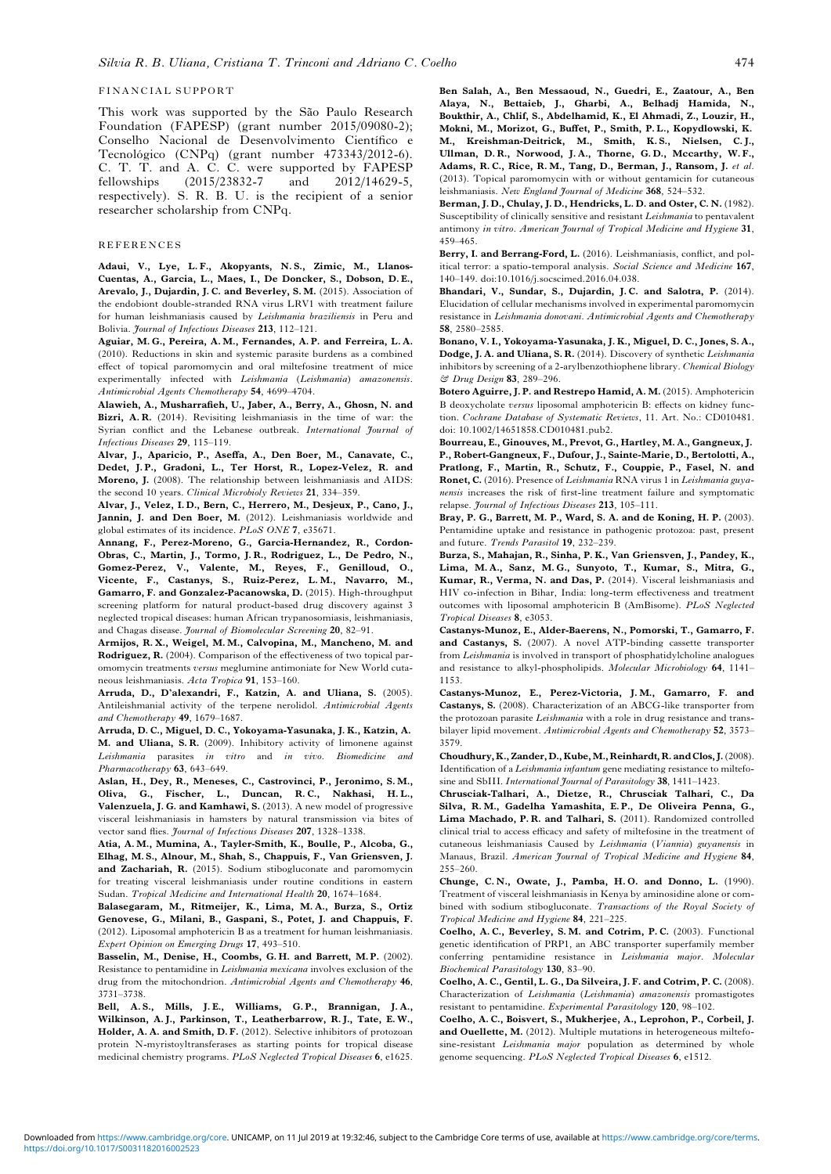#### <span id="page-10-0"></span>FINANCIAL SUPPORT

This work was supported by the São Paulo Research Foundation (FAPESP) (grant number 2015/09080-2); Conselho Nacional de Desenvolvimento Científico e Tecnológico (CNPq) (grant number 473343/2012-6). C. T. T. and A. C. C. were supported by FAPESP fellowships (2015/23832-7 and 2012/14629-5, respectively). S. R. B. U. is the recipient of a senior researcher scholarship from CNPq.

#### REFERENCES

Adaui, V., Lye, L.F., Akopyants, N.S., Zimic, M., Llanos-Cuentas, A., Garcia, L., Maes, I., De Doncker, S., Dobson, D. E., Arevalo, J., Dujardin, J. C. and Beverley, S. M. (2015). Association of the endobiont double-stranded RNA virus LRV1 with treatment failure for human leishmaniasis caused by Leishmania braziliensis in Peru and Bolivia. Journal of Infectious Diseases 213, 112–121.

Aguiar, M. G., Pereira, A. M., Fernandes, A. P. and Ferreira, L. A. (2010). Reductions in skin and systemic parasite burdens as a combined effect of topical paromomycin and oral miltefosine treatment of mice experimentally infected with Leishmania (Leishmania) amazonensis. Antimicrobial Agents Chemotherapy 54, 4699–4704.

Alawieh, A., Musharrafieh, U., Jaber, A., Berry, A., Ghosn, N. and Bizri, A. R. (2014). Revisiting leishmaniasis in the time of war: the Syrian conflict and the Lebanese outbreak. International Journal of Infectious Diseases 29, 115–119.

Alvar, J., Aparicio, P., Aseffa, A., Den Boer, M., Canavate, C., Dedet, J.P., Gradoni, L., Ter Horst, R., Lopez-Velez, R. and Moreno, J. (2008). The relationship between leishmaniasis and AIDS: the second 10 years. Clinical Microbioly Reviews 21, 334–359.

Alvar, J., Velez, I. D., Bern, C., Herrero, M., Desjeux, P., Cano, J., Jannin, J. and Den Boer, M. (2012). Leishmaniasis worldwide and global estimates of its incidence. PLoS ONE 7, e35671.

Annang, F., Perez-Moreno, G., Garcia-Hernandez, R., Cordon-Obras, C., Martin, J., Tormo, J. R., Rodriguez, L., De Pedro, N., Gomez-Perez, V., Valente, M., Reyes, F., Genilloud, O., Vicente, F., Castanys, S., Ruiz-Perez, L. M., Navarro, M., Gamarro, F. and Gonzalez-Pacanowska, D. (2015). High-throughput screening platform for natural product-based drug discovery against 3 neglected tropical diseases: human African trypanosomiasis, leishmaniasis, and Chagas disease. Journal of Biomolecular Screening 20, 82–91.

Armijos, R. X., Weigel, M. M., Calvopina, M., Mancheno, M. and Rodriguez, R. (2004). Comparison of the effectiveness of two topical paromomycin treatments versus meglumine antimoniate for New World cutaneous leishmaniasis. Acta Tropica 91, 153–160.

Arruda, D., D'alexandri, F., Katzin, A. and Uliana, S. (2005). Antileishmanial activity of the terpene nerolidol. Antimicrobial Agents and Chemotherapy 49, 1679–1687.

Arruda, D. C., Miguel, D. C., Yokoyama-Yasunaka, J. K., Katzin, A. M. and Uliana, S. R. (2009). Inhibitory activity of limonene against Leishmania parasites in vitro and in vivo. Biomedicine and Pharmacotherapy 63, 643–649.

Aslan, H., Dey, R., Meneses, C., Castrovinci, P., Jeronimo, S. M., Oliva, G., Fischer, L., Duncan, R. C., Nakhasi, H. L., Valenzuela, J. G. and Kamhawi, S. (2013). A new model of progressive visceral leishmaniasis in hamsters by natural transmission via bites of vector sand flies. Journal of Infectious Diseases 207, 1328-1338.

Atia, A. M., Mumina, A., Tayler-Smith, K., Boulle, P., Alcoba, G., Elhag, M. S., Alnour, M., Shah, S., Chappuis, F., Van Griensven, J. and Zachariah, R. (2015). Sodium stibogluconate and paromomycin for treating visceral leishmaniasis under routine conditions in eastern Sudan. Tropical Medicine and International Health 20, 1674–1684.

Balasegaram, M., Ritmeijer, K., Lima, M. A., Burza, S., Ortiz Genovese, G., Milani, B., Gaspani, S., Potet, J. and Chappuis, F. (2012). Liposomal amphotericin B as a treatment for human leishmaniasis. Expert Opinion on Emerging Drugs 17, 493–510.

Basselin, M., Denise, H., Coombs, G. H. and Barrett, M. P. (2002). Resistance to pentamidine in Leishmania mexicana involves exclusion of the drug from the mitochondrion. Antimicrobial Agents and Chemotherapy 46, 3731–3738.

Bell, A. S., Mills, J. E., Williams, G. P., Brannigan, J. A., Wilkinson, A. J., Parkinson, T., Leatherbarrow, R. J., Tate, E. W., Holder, A. A. and Smith, D. F. (2012). Selective inhibitors of protozoan protein N-myristoyltransferases as starting points for tropical disease medicinal chemistry programs. PLoS Neglected Tropical Diseases 6, e1625.

Ben Salah, A., Ben Messaoud, N., Guedri, E., Zaatour, A., Ben Alaya, N., Bettaieb, J., Gharbi, A., Belhadj Hamida, N., Boukthir, A., Chlif, S., Abdelhamid, K., El Ahmadi, Z., Louzir, H., Mokni, M., Morizot, G., Buffet, P., Smith, P. L., Kopydlowski, K. M., Kreishman-Deitrick, M., Smith, K. S., Nielsen, C. J., Ullman, D. R., Norwood, J. A., Thorne, G. D., Mccarthy, W. F., Adams, R. C., Rice, R. M., Tang, D., Berman, J., Ransom, J. et al. (2013). Topical paromomycin with or without gentamicin for cutaneous leishmaniasis. New England Journal of Medicine 368, 524-532.

Berman, J. D., Chulay, J. D., Hendricks, L. D. and Oster, C. N. (1982). Susceptibility of clinically sensitive and resistant Leishmania to pentavalent antimony in vitro. American Journal of Tropical Medicine and Hygiene 31, 459–465.

Berry, I. and Berrang-Ford, L. (2016). Leishmaniasis, conflict, and political terror: a spatio-temporal analysis. Social Science and Medicine 167, 140–149. doi:10.1016/j.socscimed.2016.04.038.

Bhandari, V., Sundar, S., Dujardin, J. C. and Salotra, P. (2014). Elucidation of cellular mechanisms involved in experimental paromomycin resistance in Leishmania donovani. Antimicrobial Agents and Chemotherapy 58, 2580–2585.

Bonano, V. I., Yokoyama-Yasunaka, J. K., Miguel, D. C., Jones, S. A., Dodge, J. A. and Uliana, S. R. (2014). Discovery of synthetic Leishmania inhibitors by screening of a 2-arylbenzothiophene library. Chemical Biology & Drug Design 83, 289–296.

Botero Aguirre, J. P. and Restrepo Hamid, A. M. (2015). Amphotericin B deoxycholate versus liposomal amphotericin B: effects on kidney function. Cochrane Database of Systematic Reviews, 11. Art. No.: CD010481. doi: 10.1002/14651858.CD010481.pub2.

Bourreau, E., Ginouves, M., Prevot, G., Hartley, M. A., Gangneux, J. P., Robert-Gangneux, F., Dufour, J., Sainte-Marie, D., Bertolotti, A., Pratlong, F., Martin, R., Schutz, F., Couppie, P., Fasel, N. and Ronet, C. (2016). Presence of Leishmania RNA virus 1 in Leishmania guyanensis increases the risk of first-line treatment failure and symptomatic relapse. Journal of Infectious Diseases 213, 105–111.

Bray, P. G., Barrett, M. P., Ward, S. A. and de Koning, H. P. (2003). Pentamidine uptake and resistance in pathogenic protozoa: past, present and future. Trends Parasitol 19, 232–239.

Burza, S., Mahajan, R., Sinha, P. K., Van Griensven, J., Pandey, K., Lima, M. A., Sanz, M. G., Sunyoto, T., Kumar, S., Mitra, G., Kumar, R., Verma, N. and Das, P. (2014). Visceral leishmaniasis and HIV co-infection in Bihar, India: long-term effectiveness and treatment outcomes with liposomal amphotericin B (AmBisome). PLoS Neglected Tropical Diseases 8, e3053.

Castanys-Munoz, E., Alder-Baerens, N., Pomorski, T., Gamarro, F. and Castanys, S. (2007). A novel ATP-binding cassette transporter from Leishmania is involved in transport of phosphatidylcholine analogues and resistance to alkyl-phospholipids. Molecular Microbiology 64, 1141– 1153.

Castanys-Munoz, E., Perez-Victoria, J. M., Gamarro, F. and Castanys, S. (2008). Characterization of an ABCG-like transporter from the protozoan parasite Leishmania with a role in drug resistance and transbilayer lipid movement. Antimicrobial Agents and Chemotherapy 52, 3573-3579.

Choudhury, K., Zander, D., Kube,M., Reinhardt, R. and Clos, J.(2008). Identification of a Leishmania infantum gene mediating resistance to miltefosine and SbIII. International Journal of Parasitology 38, 1411-1423.

Chrusciak-Talhari, A., Dietze, R., Chrusciak Talhari, C., Da Silva, R. M., Gadelha Yamashita, E. P., De Oliveira Penna, G., Lima Machado, P. R. and Talhari, S. (2011). Randomized controlled clinical trial to access efficacy and safety of miltefosine in the treatment of cutaneous leishmaniasis Caused by Leishmania (Viannia) guyanensis in Manaus, Brazil. American Journal of Tropical Medicine and Hygiene 84, 255–260.

Chunge, C. N., Owate, J., Pamba, H. O. and Donno, L. (1990). Treatment of visceral leishmaniasis in Kenya by aminosidine alone or combined with sodium stibogluconate. Transactions of the Royal Society of Tropical Medicine and Hygiene 84, 221–225.

Coelho, A. C., Beverley, S. M. and Cotrim, P. C. (2003). Functional genetic identification of PRP1, an ABC transporter superfamily member conferring pentamidine resistance in Leishmania major. Molecular Biochemical Parasitology 130, 83–90.

Coelho, A. C., Gentil, L. G., Da Silveira, J. F. and Cotrim, P. C. (2008). Characterization of Leishmania (Leishmania) amazonensis promastigotes resistant to pentamidine. Experimental Parasitology 120, 98–102.

Coelho, A. C., Boisvert, S., Mukherjee, A., Leprohon, P., Corbeil, J. and Ouellette, M. (2012). Multiple mutations in heterogeneous miltefosine-resistant Leishmania major population as determined by whole genome sequencing. PLoS Neglected Tropical Diseases 6, e1512.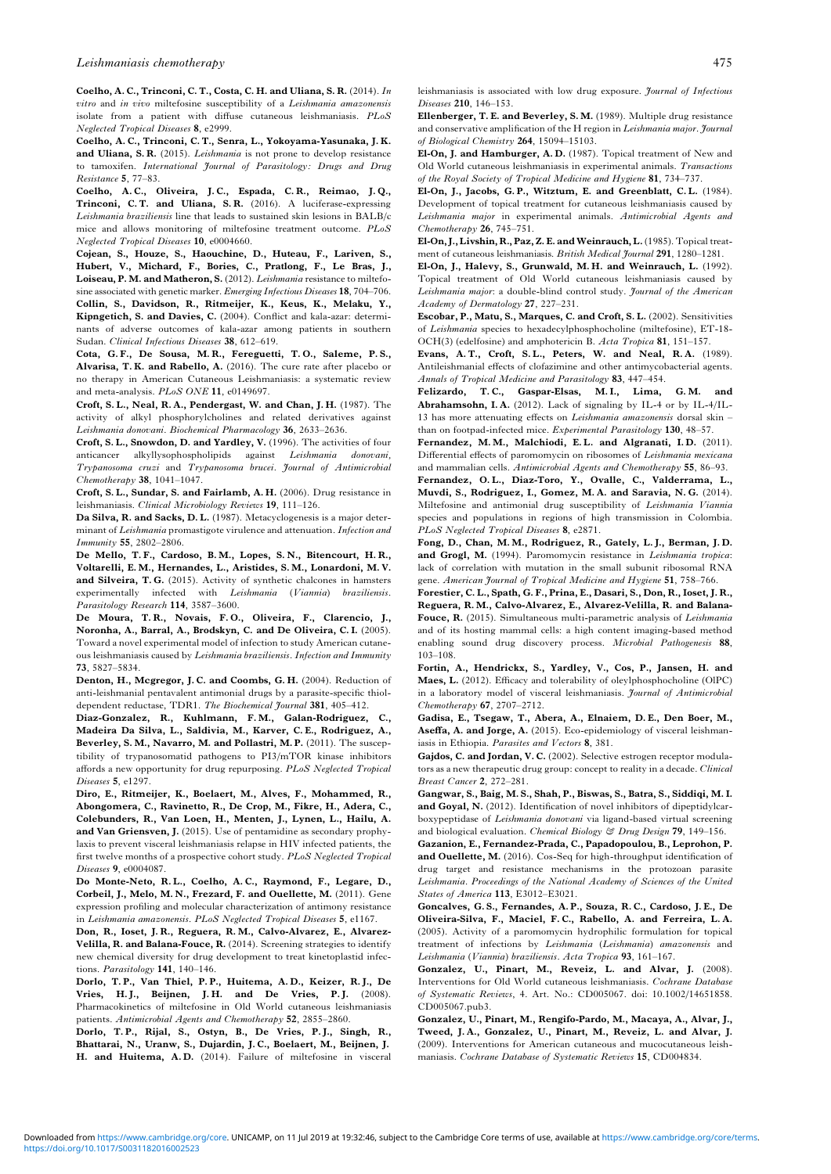<span id="page-11-0"></span>Coelho, A. C., Trinconi, C. T., Costa, C. H. and Uliana, S. R. (2014). In vitro and in vivo miltefosine susceptibility of a Leishmania amazonensis isolate from a patient with diffuse cutaneous leishmaniasis. PLoS Neglected Tropical Diseases 8, e2999.

Coelho, A. C., Trinconi, C. T., Senra, L., Yokoyama-Yasunaka, J. K. and Uliana, S. R. (2015). Leishmania is not prone to develop resistance to tamoxifen. International Journal of Parasitology: Drugs and Drug Resistance 5, 77–83.

Coelho, A. C., Oliveira, J. C., Espada, C. R., Reimao, J. Q., Trinconi, C. T. and Uliana, S. R. (2016). A luciferase-expressing Leishmania braziliensis line that leads to sustained skin lesions in BALB/c mice and allows monitoring of miltefosine treatment outcome. PLoS Neglected Tropical Diseases 10, e0004660.

Cojean, S., Houze, S., Haouchine, D., Huteau, F., Lariven, S., Hubert, V., Michard, F., Bories, C., Pratlong, F., Le Bras, J., Loiseau, P. M. and Matheron, S. (2012). Leishmania resistance to miltefosine associated with genetic marker. Emerging Infectious Diseases 18, 704–706. Collin, S., Davidson, R., Ritmeijer, K., Keus, K., Melaku, Y., Kipngetich, S. and Davies, C. (2004). Conflict and kala-azar: determinants of adverse outcomes of kala-azar among patients in southern Sudan. Clinical Infectious Diseases 38, 612–619.

Cota, G. F., De Sousa, M. R., Fereguetti, T. O., Saleme, P. S., Alvarisa, T. K. and Rabello, A. (2016). The cure rate after placebo or no therapy in American Cutaneous Leishmaniasis: a systematic review and meta-analysis. PLoS ONE 11, e0149697.

Croft, S. L., Neal, R. A., Pendergast, W. and Chan, J. H. (1987). The activity of alkyl phosphorylcholines and related derivatives against Leishmania donovani. Biochemical Pharmacology 36, 2633–2636.

Croft, S. L., Snowdon, D. and Yardley, V. (1996). The activities of four anticancer alkyllysophospholipids against Leishmania donovani, Trypanosoma cruzi and Trypanosoma brucei. Journal of Antimicrobial Chemotherapy 38, 1041–1047.

Croft, S. L., Sundar, S. and Fairlamb, A. H. (2006). Drug resistance in leishmaniasis. Clinical Microbiology Reviews 19, 111–126.

Da Silva, R. and Sacks, D. L. (1987). Metacyclogenesis is a major determinant of Leishmania promastigote virulence and attenuation. Infection and Immunity 55, 2802–2806.

De Mello, T. F., Cardoso, B. M., Lopes, S. N., Bitencourt, H. R., Voltarelli, E. M., Hernandes, L., Aristides, S. M., Lonardoni, M. V. and Silveira, T. G. (2015). Activity of synthetic chalcones in hamsters experimentally infected with Leishmania (Viannia) braziliensis. Parasitology Research 114, 3587–3600.

De Moura, T.R., Novais, F.O., Oliveira, F., Clarencio, J., Noronha, A., Barral, A., Brodskyn, C. and De Oliveira, C. I. (2005). Toward a novel experimental model of infection to study American cutaneous leishmaniasis caused by Leishmania braziliensis. Infection and Immunity 73, 5827–5834.

Denton, H., Mcgregor, J. C. and Coombs, G. H. (2004). Reduction of anti-leishmanial pentavalent antimonial drugs by a parasite-specific thioldependent reductase, TDR1. The Biochemical Journal 381, 405-412.

Diaz-Gonzalez, R., Kuhlmann, F. M., Galan-Rodriguez, C., Madeira Da Silva, L., Saldivia, M., Karver, C. E., Rodriguez, A., Beverley, S. M., Navarro, M. and Pollastri, M. P. (2011). The susceptibility of trypanosomatid pathogens to PI3/mTOR kinase inhibitors affords a new opportunity for drug repurposing. PLoS Neglected Tropical Diseases 5, e1297.

Diro, E., Ritmeijer, K., Boelaert, M., Alves, F., Mohammed, R., Abongomera, C., Ravinetto, R., De Crop, M., Fikre, H., Adera, C., Colebunders, R., Van Loen, H., Menten, J., Lynen, L., Hailu, A. and Van Griensven, J. (2015). Use of pentamidine as secondary prophylaxis to prevent visceral leishmaniasis relapse in HIV infected patients, the first twelve months of a prospective cohort study. PLoS Neglected Tropical Diseases 9, e0004087.

Do Monte-Neto, R. L., Coelho, A. C., Raymond, F., Legare, D., Corbeil, J., Melo, M. N., Frezard, F. and Ouellette, M. (2011). Gene expression profiling and molecular characterization of antimony resistance in Leishmania amazonensis. PLoS Neglected Tropical Diseases 5, e1167.

Don, R., Ioset, J. R., Reguera, R. M., Calvo-Alvarez, E., Alvarez-Velilla, R. and Balana-Fouce, R. (2014). Screening strategies to identify new chemical diversity for drug development to treat kinetoplastid infections. Parasitology 141, 140–146.

Dorlo, T. P., Van Thiel, P. P., Huitema, A. D., Keizer, R. J., De Vries, H. J., Beijnen, J. H. and De Vries, P. J. (2008). Pharmacokinetics of miltefosine in Old World cutaneous leishmaniasis patients. Antimicrobial Agents and Chemotherapy 52, 2855–2860.

Dorlo, T. P., Rijal, S., Ostyn, B., De Vries, P. J., Singh, R., Bhattarai, N., Uranw, S., Dujardin, J. C., Boelaert, M., Beijnen, J. H. and Huitema, A.D. (2014). Failure of miltefosine in visceral leishmaniasis is associated with low drug exposure. *Journal of Infectious* Diseases 210, 146–153.

Ellenberger, T. E. and Beverley, S. M. (1989). Multiple drug resistance and conservative amplification of the H region in Leishmania major. Journal of Biological Chemistry 264, 15094–15103.

El-On, J. and Hamburger, A. D. (1987). Topical treatment of New and Old World cutaneous leishmaniasis in experimental animals. Transactions of the Royal Society of Tropical Medicine and Hygiene 81, 734–737.

El-On, J., Jacobs, G. P., Witztum, E. and Greenblatt, C. L. (1984). Development of topical treatment for cutaneous leishmaniasis caused by Leishmania major in experimental animals. Antimicrobial Agents and Chemotherapy 26, 745–751.

El-On, J., Livshin, R., Paz, Z. E. and Weinrauch, L. (1985). Topical treatment of cutaneous leishmaniasis. British Medical Journal 291, 1280-1281.

El-On, J., Halevy, S., Grunwald, M. H. and Weinrauch, L. (1992). Topical treatment of Old World cutaneous leishmaniasis caused by Leishmania major: a double-blind control study. Journal of the American Academy of Dermatology 27, 227–231.

Escobar, P., Matu, S., Marques, C. and Croft, S. L. (2002). Sensitivities of Leishmania species to hexadecylphosphocholine (miltefosine), ET-18- OCH(3) (edelfosine) and amphotericin B. Acta Tropica 81, 151-157.

Evans, A. T., Croft, S. L., Peters, W. and Neal, R. A. (1989). Antileishmanial effects of clofazimine and other antimycobacterial agents. Annals of Tropical Medicine and Parasitology 83, 447–454.

Felizardo, T. C., Gaspar-Elsas, M. I., Lima, G. M. and Abrahamsohn, I.A. (2012). Lack of signaling by IL-4 or by IL-4/IL-13 has more attenuating effects on Leishmania amazonensis dorsal skin – than on footpad-infected mice. Experimental Parasitology 130, 48-57.

Fernandez, M. M., Malchiodi, E. L. and Algranati, I. D. (2011). Differential effects of paromomycin on ribosomes of Leishmania mexicana and mammalian cells. Antimicrobial Agents and Chemotherapy 55, 86–93.

Fernandez, O. L., Diaz-Toro, Y., Ovalle, C., Valderrama, L., Muvdi, S., Rodriguez, I., Gomez, M. A. and Saravia, N. G. (2014). Miltefosine and antimonial drug susceptibility of Leishmania Viannia species and populations in regions of high transmission in Colombia. PLoS Neglected Tropical Diseases 8, e2871.

Fong, D., Chan, M. M., Rodriguez, R., Gately, L. J., Berman, J. D. and Grogl, M. (1994). Paromomycin resistance in Leishmania tropica: lack of correlation with mutation in the small subunit ribosomal RNA gene. American Journal of Tropical Medicine and Hygiene 51, 758–766.

Forestier, C. L., Spath, G. F., Prina, E., Dasari, S., Don, R., Ioset, J. R., Reguera, R. M., Calvo-Alvarez, E., Alvarez-Velilla, R. and Balana-Fouce, R. (2015). Simultaneous multi-parametric analysis of Leishmania and of its hosting mammal cells: a high content imaging-based method enabling sound drug discovery process. Microbial Pathogenesis 88, 103–108.

Fortin, A., Hendrickx, S., Yardley, V., Cos, P., Jansen, H. and Maes, L. (2012). Efficacy and tolerability of oleylphosphocholine (OlPC) in a laboratory model of visceral leishmaniasis. Journal of Antimicrobial Chemotherapy 67, 2707–2712.

Gadisa, E., Tsegaw, T., Abera, A., Elnaiem, D. E., Den Boer, M., Aseffa, A. and Jorge, A. (2015). Eco-epidemiology of visceral leishmaniasis in Ethiopia. Parasites and Vectors 8, 381.

Gajdos, C. and Jordan, V. C. (2002). Selective estrogen receptor modulators as a new therapeutic drug group: concept to reality in a decade. Clinical Breast Cancer 2, 272–281.

Gangwar, S., Baig, M. S., Shah, P., Biswas, S., Batra, S., Siddiqi, M. I. and Goyal, N. (2012). Identification of novel inhibitors of dipeptidylcarboxypeptidase of Leishmania donovani via ligand-based virtual screening and biological evaluation. Chemical Biology & Drug Design 79, 149-156.

Gazanion, E., Fernandez-Prada, C., Papadopoulou, B., Leprohon, P. and Ouellette, M. (2016). Cos-Seq for high-throughput identification of drug target and resistance mechanisms in the protozoan parasite Leishmania. Proceedings of the National Academy of Sciences of the United States of America 113, E3012–E3021.

Goncalves, G. S., Fernandes, A. P., Souza, R. C., Cardoso, J. E., De Oliveira-Silva, F., Maciel, F. C., Rabello, A. and Ferreira, L. A. (2005). Activity of a paromomycin hydrophilic formulation for topical treatment of infections by Leishmania (Leishmania) amazonensis and Leishmania (Viannia) braziliensis. Acta Tropica 93, 161–167.

Gonzalez, U., Pinart, M., Reveiz, L. and Alvar, J. (2008). Interventions for Old World cutaneous leishmaniasis. Cochrane Database of Systematic Reviews, 4. Art. No.: CD005067. doi: 10.1002/14651858. CD005067.pub3.

Gonzalez, U., Pinart, M., Rengifo-Pardo, M., Macaya, A., Alvar, J., Tweed, J. A., Gonzalez, U., Pinart, M., Reveiz, L. and Alvar, J. (2009). Interventions for American cutaneous and mucocutaneous leishmaniasis. Cochrane Database of Systematic Reviews 15, CD004834.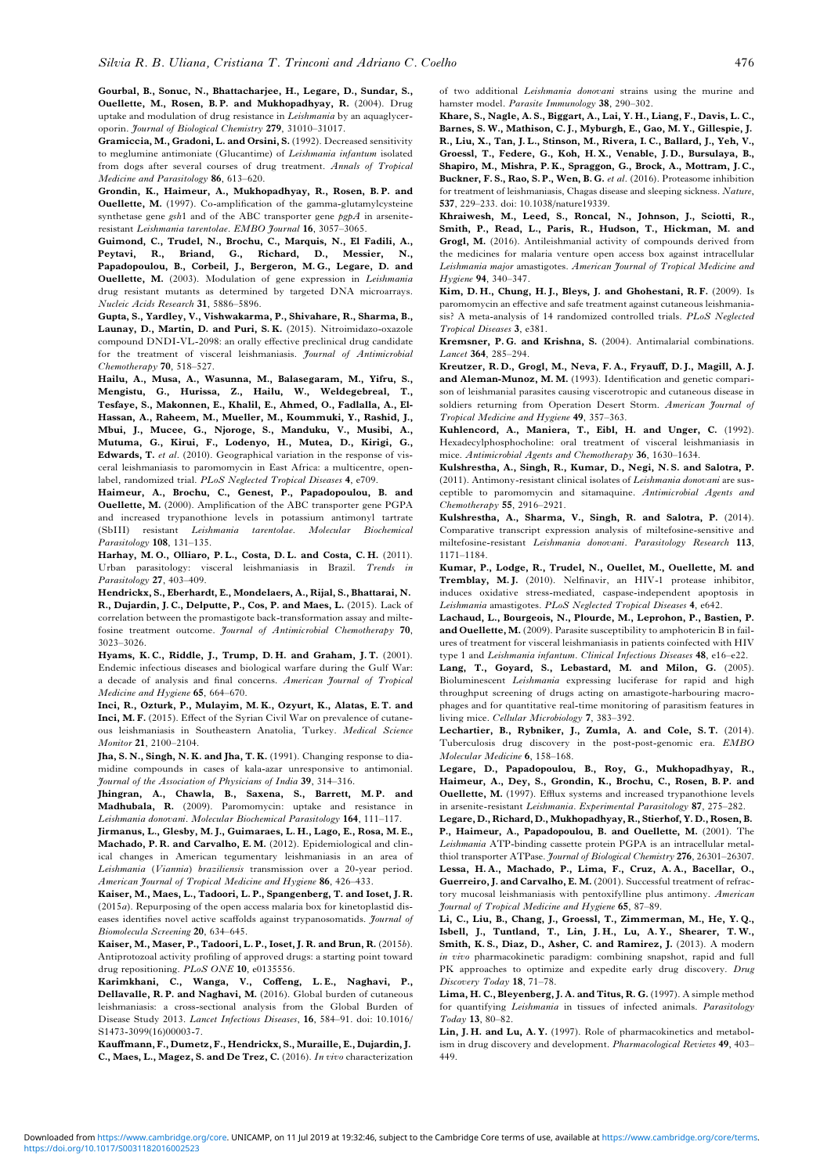<span id="page-12-0"></span>Gourbal, B., Sonuc, N., Bhattacharjee, H., Legare, D., Sundar, S., Ouellette, M., Rosen, B. P. and Mukhopadhyay, R. (2004). Drug uptake and modulation of drug resistance in Leishmania by an aquaglyceroporin. Journal of Biological Chemistry 279, 31010–31017.

Gramiccia, M., Gradoni, L. and Orsini, S. (1992). Decreased sensitivity to meglumine antimoniate (Glucantime) of Leishmania infantum isolated from dogs after several courses of drug treatment. Annals of Tropical Medicine and Parasitology 86, 613–620.

Grondin, K., Haimeur, A., Mukhopadhyay, R., Rosen, B. P. and Ouellette, M. (1997). Co-amplification of the gamma-glutamylcysteine synthetase gene  $gsh1$  and of the ABC transporter gene  $pgpA$  in arseniteresistant Leishmania tarentolae. EMBO Journal 16, 3057–3065.

Guimond, C., Trudel, N., Brochu, C., Marquis, N., El Fadili, A., Peytavi, R., Briand, G., Richard, D., Messier, N., Papadopoulou, B., Corbeil, J., Bergeron, M. G., Legare, D. and Ouellette, M. (2003). Modulation of gene expression in Leishmania drug resistant mutants as determined by targeted DNA microarrays. Nucleic Acids Research 31, 5886–5896.

Gupta, S., Yardley, V., Vishwakarma, P., Shivahare, R., Sharma, B., Launay, D., Martin, D. and Puri, S. K. (2015). Nitroimidazo-oxazole compound DNDI-VL-2098: an orally effective preclinical drug candidate for the treatment of visceral leishmaniasis. Journal of Antimicrobial Chemotherapy 70, 518–527.

Hailu, A., Musa, A., Wasunna, M., Balasegaram, M., Yifru, S., Mengistu, G., Hurissa, Z., Hailu, W., Weldegebreal, T., Tesfaye, S., Makonnen, E., Khalil, E., Ahmed, O., Fadlalla, A., El-Hassan, A., Raheem, M., Mueller, M., Koummuki, Y., Rashid, J., Mbui, J., Mucee, G., Njoroge, S., Manduku, V., Musibi, A., Mutuma, G., Kirui, F., Lodenyo, H., Mutea, D., Kirigi, G., Edwards, T. et al. (2010). Geographical variation in the response of visceral leishmaniasis to paromomycin in East Africa: a multicentre, openlabel, randomized trial. PLoS Neglected Tropical Diseases 4, e709.

Haimeur, A., Brochu, C., Genest, P., Papadopoulou, B. and Ouellette, M. (2000). Amplification of the ABC transporter gene PGPA and increased trypanothione levels in potassium antimonyl tartrate (SbIII) resistant Leishmania tarentolae. Molecular Biochemical Parasitology 108, 131–135.

Harhay, M. O., Olliaro, P. L., Costa, D. L. and Costa, C. H. (2011). Urban parasitology: visceral leishmaniasis in Brazil. Trends in Parasitology 27, 403-409.

Hendrickx, S., Eberhardt, E., Mondelaers, A., Rijal, S., Bhattarai, N. R., Dujardin, J. C., Delputte, P., Cos, P. and Maes, L. (2015). Lack of correlation between the promastigote back-transformation assay and miltefosine treatment outcome. Journal of Antimicrobial Chemotherapy 70, 3023–3026.

Hyams, K. C., Riddle, J., Trump, D. H. and Graham, J. T. (2001). Endemic infectious diseases and biological warfare during the Gulf War: a decade of analysis and final concerns. American Journal of Tropical Medicine and Hygiene 65, 664–670.

Inci, R., Ozturk, P., Mulayim, M. K., Ozyurt, K., Alatas, E. T. and Inci, M. F. (2015). Effect of the Syrian Civil War on prevalence of cutaneous leishmaniasis in Southeastern Anatolia, Turkey. Medical Science Monitor 21, 2100–2104.

Jha, S. N., Singh, N. K. and Jha, T. K. (1991). Changing response to diamidine compounds in cases of kala-azar unresponsive to antimonial. Journal of the Association of Physicians of India 39, 314–316.

Jhingran, A., Chawla, B., Saxena, S., Barrett, M. P. and Madhubala, R. (2009). Paromomycin: uptake and resistance in Leishmania donovani. Molecular Biochemical Parasitology 164, 111–117.

Jirmanus, L., Glesby, M. J., Guimaraes, L. H., Lago, E., Rosa, M. E., Machado, P. R. and Carvalho, E. M. (2012). Epidemiological and clinical changes in American tegumentary leishmaniasis in an area of Leishmania (Viannia) braziliensis transmission over a 20-year period. American Journal of Tropical Medicine and Hygiene 86, 426–433.

Kaiser, M., Maes, L., Tadoori, L. P., Spangenberg, T. and Ioset, J. R.  $(2015a)$ . Repurposing of the open access malaria box for kinetoplastid diseases identifies novel active scaffolds against trypanosomatids. Journal of Biomolecula Screening 20, 634–645.

Kaiser, M., Maser, P., Tadoori, L. P., Ioset, J. R. and Brun, R. (2015b). Antiprotozoal activity profiling of approved drugs: a starting point toward drug repositioning. PLoS ONE 10, e0135556.

Karimkhani, C., Wanga, V., Coffeng, L. E., Naghavi, P., Dellavalle, R. P. and Naghavi, M. (2016). Global burden of cutaneous leishmaniasis: a cross-sectional analysis from the Global Burden of Disease Study 2013. Lancet Infectious Diseases, 16, 584–91. doi: 10.1016/ S1473-3099(16)00003-7.

Kauffmann, F., Dumetz, F., Hendrickx, S., Muraille, E., Dujardin, J. C., Maes, L., Magez, S. and De Trez, C. (2016). In vivo characterization of two additional Leishmania donovani strains using the murine and hamster model. Parasite Immunology 38, 290–302.

Khare, S., Nagle, A. S., Biggart, A., Lai, Y. H., Liang, F., Davis, L. C., Barnes, S. W., Mathison, C. J., Myburgh, E., Gao, M. Y., Gillespie, J. R., Liu, X., Tan, J. L., Stinson, M., Rivera, I. C., Ballard, J., Yeh, V., Groessl, T., Federe, G., Koh, H. X., Venable, J. D., Bursulaya, B., Shapiro, M., Mishra, P. K., Spraggon, G., Brock, A., Mottram, J. C., Buckner, F. S., Rao, S. P., Wen, B. G. et al. (2016). Proteasome inhibition for treatment of leishmaniasis, Chagas disease and sleeping sickness. Nature, 537, 229–233. doi: 10.1038/nature19339.

Khraiwesh, M., Leed, S., Roncal, N., Johnson, J., Sciotti, R., Smith, P., Read, L., Paris, R., Hudson, T., Hickman, M. and Grogl, M. (2016). Antileishmanial activity of compounds derived from the medicines for malaria venture open access box against intracellular Leishmania major amastigotes. American Journal of Tropical Medicine and Hygiene 94, 340–347.

Kim, D. H., Chung, H. J., Bleys, J. and Ghohestani, R. F. (2009). Is paromomycin an effective and safe treatment against cutaneous leishmaniasis? A meta-analysis of 14 randomized controlled trials. PLoS Neglected Tropical Diseases 3, e381.

Kremsner, P. G. and Krishna, S. (2004). Antimalarial combinations. Lancet 364, 285–294.

Kreutzer, R. D., Grogl, M., Neva, F. A., Fryauff, D. J., Magill, A. J. and Aleman-Munoz, M. M. (1993). Identification and genetic comparison of leishmanial parasites causing viscerotropic and cutaneous disease in soldiers returning from Operation Desert Storm. American Journal of Tropical Medicine and Hygiene 49, 357–363.

Kuhlencord, A., Maniera, T., Eibl, H. and Unger, C. (1992). Hexadecylphosphocholine: oral treatment of visceral leishmaniasis in mice. Antimicrobial Agents and Chemotherapy 36, 1630–1634.

Kulshrestha, A., Singh, R., Kumar, D., Negi, N. S. and Salotra, P. (2011). Antimony-resistant clinical isolates of Leishmania donovani are susceptible to paromomycin and sitamaquine. Antimicrobial Agents and Chemotherapy 55, 2916–2921.

Kulshrestha, A., Sharma, V., Singh, R. and Salotra, P. (2014). Comparative transcript expression analysis of miltefosine-sensitive and miltefosine-resistant Leishmania donovani. Parasitology Research 113, 1171–1184.

Kumar, P., Lodge, R., Trudel, N., Ouellet, M., Ouellette, M. and Tremblay, M. J. (2010). Nelfinavir, an HIV-1 protease inhibitor, induces oxidative stress-mediated, caspase-independent apoptosis in Leishmania amastigotes. PLoS Neglected Tropical Diseases 4, e642.

Lachaud, L., Bourgeois, N., Plourde, M., Leprohon, P., Bastien, P. and Ouellette, M. (2009). Parasite susceptibility to amphotericin B in failures of treatment for visceral leishmaniasis in patients coinfected with HIV type 1 and Leishmania infantum. Clinical Infectious Diseases 48, e16–e22.

Lang, T., Goyard, S., Lebastard, M. and Milon, G. (2005). Bioluminescent Leishmania expressing luciferase for rapid and high throughput screening of drugs acting on amastigote-harbouring macrophages and for quantitative real-time monitoring of parasitism features in living mice. Cellular Microbiology 7, 383–392.

Lechartier, B., Rybniker, J., Zumla, A. and Cole, S.T. (2014). Tuberculosis drug discovery in the post-post-genomic era. EMBO Molecular Medicine 6, 158–168.

Legare, D., Papadopoulou, B., Roy, G., Mukhopadhyay, R., Haimeur, A., Dey, S., Grondin, K., Brochu, C., Rosen, B. P. and Ouellette, M. (1997). Efflux systems and increased trypanothione levels in arsenite-resistant Leishmania. Experimental Parasitology 87, 275–282.

Legare, D., Richard, D., Mukhopadhyay, R., Stierhof, Y. D., Rosen, B. P., Haimeur, A., Papadopoulou, B. and Ouellette, M. (2001). The Leishmania ATP-binding cassette protein PGPA is an intracellular metalthiol transporter ATPase. Journal of Biological Chemistry 276, 26301-26307. Lessa, H. A., Machado, P., Lima, F., Cruz, A. A., Bacellar, O., Guerreiro, J. and Carvalho, E. M. (2001). Successful treatment of refractory mucosal leishmaniasis with pentoxifylline plus antimony. American Journal of Tropical Medicine and Hygiene 65, 87–89.

Li, C., Liu, B., Chang, J., Groessl, T., Zimmerman, M., He, Y. Q., Isbell, J., Tuntland, T., Lin, J. H., Lu, A. Y., Shearer, T. W., Smith, K. S., Diaz, D., Asher, C. and Ramirez, J. (2013). A modern in vivo pharmacokinetic paradigm: combining snapshot, rapid and full PK approaches to optimize and expedite early drug discovery. Drug Discovery Today 18, 71–78.

Lima, H. C., Bleyenberg, J. A. and Titus, R. G. (1997). A simple method for quantifying Leishmania in tissues of infected animals. Parasitology Today 13, 80–82.

Lin, J. H. and Lu, A. Y. (1997). Role of pharmacokinetics and metabolism in drug discovery and development. Pharmacological Reviews 49, 403– 449.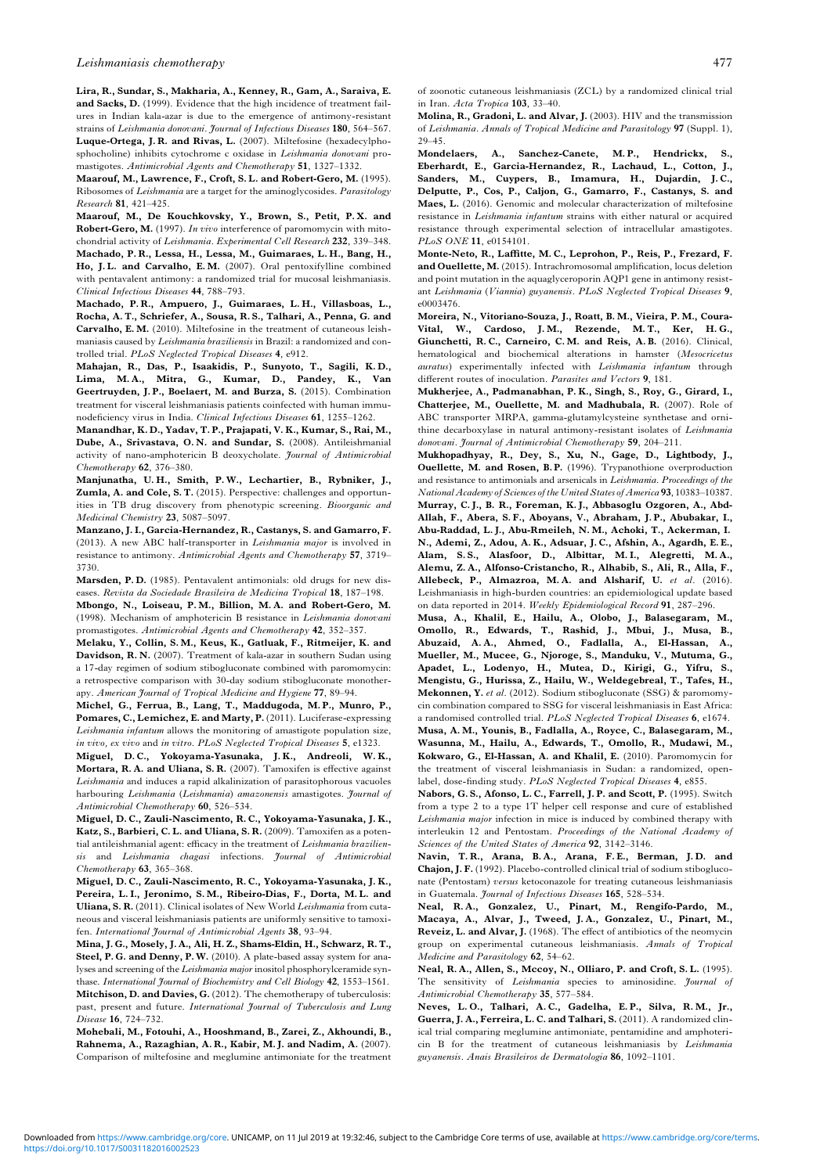<span id="page-13-0"></span>Lira, R., Sundar, S., Makharia, A., Kenney, R., Gam, A., Saraiva, E. and Sacks, D. (1999). Evidence that the high incidence of treatment failures in Indian kala-azar is due to the emergence of antimony-resistant strains of Leishmania donovani. Journal of Infectious Diseases 180, 564–567. Luque-Ortega, J. R. and Rivas, L. (2007). Miltefosine (hexadecylphosphocholine) inhibits cytochrome c oxidase in Leishmania donovani promastigotes. Antimicrobial Agents and Chemotherapy 51, 1327–1332.

Maarouf, M., Lawrence, F., Croft, S. L. and Robert-Gero, M. (1995). Ribosomes of Leishmania are a target for the aminoglycosides. Parasitology Research 81, 421–425.

Maarouf, M., De Kouchkovsky, Y., Brown, S., Petit, P. X. and Robert-Gero, M. (1997). In vivo interference of paromomycin with mitochondrial activity of Leishmania. Experimental Cell Research 232, 339–348. Machado, P. R., Lessa, H., Lessa, M., Guimaraes, L. H., Bang, H., Ho, J.L. and Carvalho, E.M. (2007). Oral pentoxifylline combined with pentavalent antimony: a randomized trial for mucosal leishmaniasis. Clinical Infectious Diseases 44, 788–793.

Machado, P. R., Ampuero, J., Guimaraes, L. H., Villasboas, L., Rocha, A. T., Schriefer, A., Sousa, R. S., Talhari, A., Penna, G. and Carvalho, E. M. (2010). Miltefosine in the treatment of cutaneous leishmaniasis caused by Leishmania braziliensis in Brazil: a randomized and controlled trial. PLoS Neglected Tropical Diseases 4, e912.

Mahajan, R., Das, P., Isaakidis, P., Sunyoto, T., Sagili, K. D., Lima, M. A., Mitra, G., Kumar, D., Pandey, K., Van Geertruyden, J. P., Boelaert, M. and Burza, S. (2015). Combination treatment for visceral leishmaniasis patients coinfected with human immunodeficiency virus in India. Clinical Infectious Diseases 61, 1255–1262.

Manandhar, K. D., Yadav, T. P., Prajapati, V. K., Kumar, S., Rai, M., Dube, A., Srivastava, O. N. and Sundar, S. (2008). Antileishmanial activity of nano-amphotericin B deoxycholate. *Journal of Antimicrobial* Chemotherapy 62, 376–380.

Manjunatha, U. H., Smith, P. W., Lechartier, B., Rybniker, J., Zumla, A. and Cole, S. T. (2015). Perspective: challenges and opportunities in TB drug discovery from phenotypic screening. Bioorganic and Medicinal Chemistry 23, 5087–5097.

Manzano, J. I., Garcia-Hernandez, R., Castanys, S. and Gamarro, F. (2013). A new ABC half-transporter in Leishmania major is involved in resistance to antimony. Antimicrobial Agents and Chemotherapy 57, 3719– 3730.

Marsden, P.D. (1985). Pentavalent antimonials: old drugs for new diseases. Revista da Sociedade Brasileira de Medicina Tropical 18, 187–198.

Mbongo, N., Loiseau, P. M., Billion, M. A. and Robert-Gero, M. (1998). Mechanism of amphotericin B resistance in Leishmania donovani promastigotes. Antimicrobial Agents and Chemotherapy 42, 352–357.

Melaku, Y., Collin, S. M., Keus, K., Gatluak, F., Ritmeijer, K. and Davidson, R. N. (2007). Treatment of kala-azar in southern Sudan using a 17-day regimen of sodium stibogluconate combined with paromomycin: a retrospective comparison with 30-day sodium stibogluconate monotherapy. American Journal of Tropical Medicine and Hygiene 77, 89–94.

Michel, G., Ferrua, B., Lang, T., Maddugoda, M. P., Munro, P., Pomares, C., Lemichez, E. and Marty, P. (2011). Luciferase-expressing Leishmania infantum allows the monitoring of amastigote population size, in vivo, ex vivo and in vitro. PLoS Neglected Tropical Diseases 5, e1323.

Miguel, D. C., Yokoyama-Yasunaka, J. K., Andreoli, W. K., Mortara, R. A. and Uliana, S. R. (2007). Tamoxifen is effective against Leishmania and induces a rapid alkalinization of parasitophorous vacuoles harbouring Leishmania (Leishmania) amazonensis amastigotes. Journal of Antimicrobial Chemotherapy 60, 526–534.

Miguel, D. C., Zauli-Nascimento, R. C., Yokoyama-Yasunaka, J. K., Katz, S., Barbieri, C. L. and Uliana, S. R. (2009). Tamoxifen as a potential antileishmanial agent: efficacy in the treatment of Leishmania braziliensis and Leishmania chagasi infections. Journal of Antimicrobial Chemotherapy 63, 365-368.

Miguel, D. C., Zauli-Nascimento, R. C., Yokoyama-Yasunaka, J. K., Pereira, L. I., Jeronimo, S. M., Ribeiro-Dias, F., Dorta, M. L. and Uliana, S. R. (2011). Clinical isolates of New World Leishmania from cutaneous and visceral leishmaniasis patients are uniformly sensitive to tamoxifen. International Journal of Antimicrobial Agents 38, 93–94.

Mina, J. G., Mosely, J. A., Ali, H. Z., Shams-Eldin, H., Schwarz, R. T., Steel, P. G. and Denny, P. W. (2010). A plate-based assay system for analyses and screening of the Leishmania major inositol phosphorylceramide synthase. International Journal of Biochemistry and Cell Biology 42, 1553–1561. Mitchison, D. and Davies, G. (2012). The chemotherapy of tuberculosis: past, present and future. International Journal of Tuberculosis and Lung Disease 16, 724–732.

Mohebali, M., Fotouhi, A., Hooshmand, B., Zarei, Z., Akhoundi, B., Rahnema, A., Razaghian, A. R., Kabir, M. J. and Nadim, A. (2007). Comparison of miltefosine and meglumine antimoniate for the treatment Molina, R., Gradoni, L. and Alvar, J. (2003). HIV and the transmission of Leishmania. Annals of Tropical Medicine and Parasitology 97 (Suppl. 1), 29–45.

Mondelaers, A., Sanchez-Canete, M. P., Hendrickx, S., Eberhardt, E., Garcia-Hernandez, R., Lachaud, L., Cotton, J., Sanders, M., Cuypers, B., Imamura, H., Dujardin, J.C., Delputte, P., Cos, P., Caljon, G., Gamarro, F., Castanys, S. and Maes, L. (2016). Genomic and molecular characterization of miltefosine resistance in Leishmania infantum strains with either natural or acquired resistance through experimental selection of intracellular amastigotes. PLoS ONE 11, e0154101.

Monte-Neto, R., Laffitte, M. C., Leprohon, P., Reis, P., Frezard, F. and Ouellette, M. (2015). Intrachromosomal amplification, locus deletion and point mutation in the aquaglyceroporin AQP1 gene in antimony resistant Leishmania (Viannia) guyanensis. PLoS Neglected Tropical Diseases 9, e0003476.

Moreira, N., Vitoriano-Souza, J., Roatt, B. M., Vieira, P. M., Coura-Vital, W., Cardoso, J. M., Rezende, M. T., Ker, H. G., Giunchetti, R. C., Carneiro, C. M. and Reis, A. B. (2016). Clinical, hematological and biochemical alterations in hamster (Mesocricetus auratus) experimentally infected with Leishmania infantum through different routes of inoculation. Parasites and Vectors 9, 181.

Mukherjee, A., Padmanabhan, P. K., Singh, S., Roy, G., Girard, I., Chatterjee, M., Ouellette, M. and Madhubala, R. (2007). Role of ABC transporter MRPA, gamma-glutamylcysteine synthetase and ornithine decarboxylase in natural antimony-resistant isolates of Leishmania donovani. Journal of Antimicrobial Chemotherapy 59, 204–211.

Mukhopadhyay, R., Dey, S., Xu, N., Gage, D., Lightbody, J., Ouellette, M. and Rosen, B.P. (1996). Trypanothione overproduction and resistance to antimonials and arsenicals in Leishmania. Proceedings of the National Academy of Sciences of the United States of America 93, 10383–10387. Murray, C. J., B. R., Foreman, K. J., Abbasoglu Ozgoren, A., Abd-Allah, F., Abera, S. F., Aboyans, V., Abraham, J. P., Abubakar, I., Abu-Raddad, L. J., Abu-Rmeileh, N. M., Achoki, T., Ackerman, I. N., Ademi, Z., Adou, A. K., Adsuar, J. C., Afshin, A., Agardh, E. E., Alam, S. S., Alasfoor, D., Albittar, M. I., Alegretti, M. A., Alemu, Z. A., Alfonso-Cristancho, R., Alhabib, S., Ali, R., Alla, F., Allebeck, P., Almazroa, M.A. and Alsharif, U. et al. (2016). Leishmaniasis in high-burden countries: an epidemiological update based

on data reported in 2014. Weekly Epidemiological Record 91, 287–296. Musa, A., Khalil, E., Hailu, A., Olobo, J., Balasegaram, M.,

Omollo, R., Edwards, T., Rashid, J., Mbui, J., Musa, B., Abuzaid, A. A., Ahmed, O., Fadlalla, A., El-Hassan, A., Mueller, M., Mucee, G., Njoroge, S., Manduku, V., Mutuma, G., Apadet, L., Lodenyo, H., Mutea, D., Kirigi, G., Yifru, S., Mengistu, G., Hurissa, Z., Hailu, W., Weldegebreal, T., Tafes, H., Mekonnen, Y. et al. (2012). Sodium stibogluconate (SSG) & paromomycin combination compared to SSG for visceral leishmaniasis in East Africa: a randomised controlled trial. PLoS Neglected Tropical Diseases 6, e1674.

Musa, A. M., Younis, B., Fadlalla, A., Royce, C., Balasegaram, M., Wasunna, M., Hailu, A., Edwards, T., Omollo, R., Mudawi, M., Kokwaro, G., El-Hassan, A. and Khalil, E. (2010). Paromomycin for the treatment of visceral leishmaniasis in Sudan: a randomized, openlabel, dose-finding study. PLoS Neglected Tropical Diseases 4, e855.

Nabors, G. S., Afonso, L. C., Farrell, J. P. and Scott, P. (1995). Switch from a type 2 to a type 1T helper cell response and cure of established Leishmania major infection in mice is induced by combined therapy with interleukin 12 and Pentostam. Proceedings of the National Academy of Sciences of the United States of America 92, 3142–3146.

Navin, T. R., Arana, B. A., Arana, F. E., Berman, J. D. and Chajon, J. F. (1992). Placebo-controlled clinical trial of sodium stibogluconate (Pentostam) versus ketoconazole for treating cutaneous leishmaniasis in Guatemala. Journal of Infectious Diseases 165, 528-534.

Neal, R. A., Gonzalez, U., Pinart, M., Rengifo-Pardo, M., Macaya, A., Alvar, J., Tweed, J. A., Gonzalez, U., Pinart, M., Reveiz, L. and Alvar, J. (1968). The effect of antibiotics of the neomycin group on experimental cutaneous leishmaniasis. Annals of Tropical Medicine and Parasitology 62, 54–62.

Neal, R. A., Allen, S., Mccoy, N., Olliaro, P. and Croft, S. L. (1995). The sensitivity of Leishmania species to aminosidine. Journal of Antimicrobial Chemotherapy 35, 577–584.

Neves, L. O., Talhari, A. C., Gadelha, E. P., Silva, R. M., Jr., Guerra, J. A., Ferreira, L. C. and Talhari, S. (2011). A randomized clinical trial comparing meglumine antimoniate, pentamidine and amphotericin B for the treatment of cutaneous leishmaniasis by Leishmania guyanensis. Anais Brasileiros de Dermatologia 86, 1092–1101.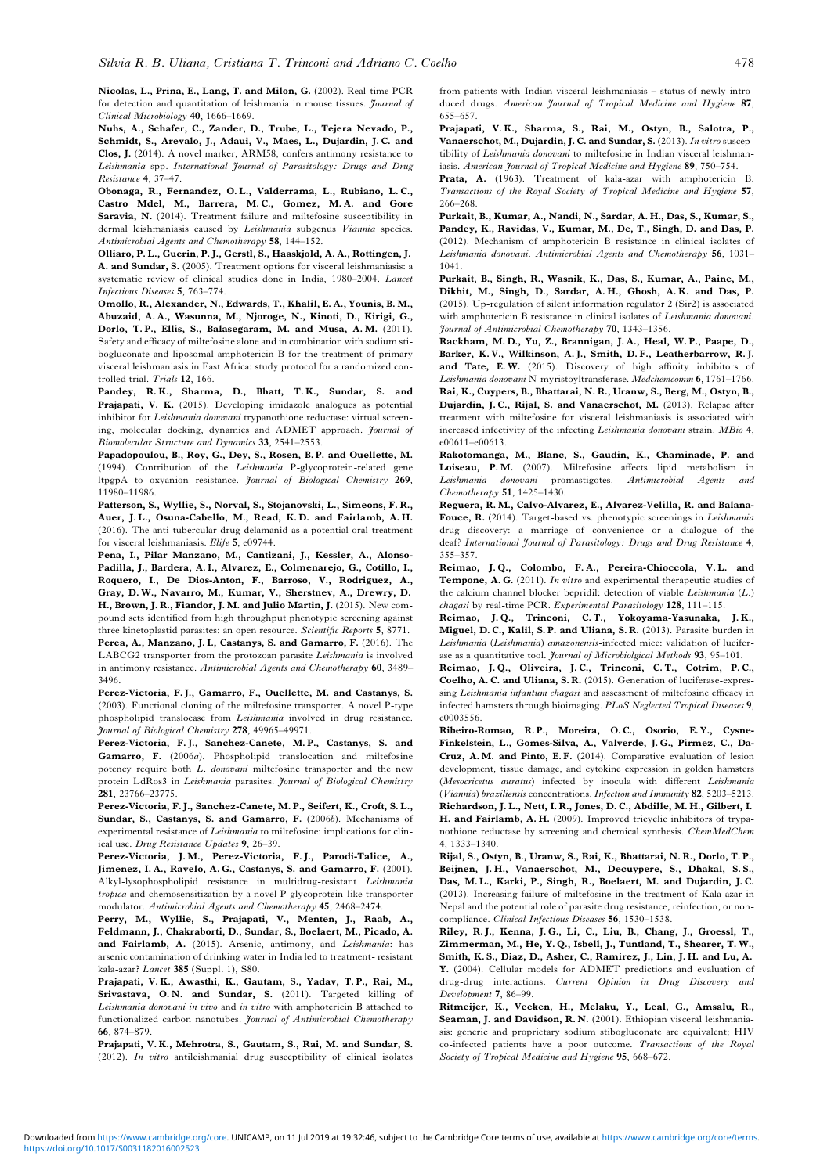<span id="page-14-0"></span>Nicolas, L., Prina, E., Lang, T. and Milon, G. (2002). Real-time PCR for detection and quantitation of leishmania in mouse tissues. *Journal of* Clinical Microbiology 40, 1666–1669.

Nuhs, A., Schafer, C., Zander, D., Trube, L., Tejera Nevado, P., Schmidt, S., Arevalo, J., Adaui, V., Maes, L., Dujardin, J. C. and Clos, J. (2014). A novel marker, ARM58, confers antimony resistance to Leishmania spp. International Journal of Parasitology: Drugs and Drug Resistance 4, 37–47.

Obonaga, R., Fernandez, O. L., Valderrama, L., Rubiano, L. C., Castro Mdel, M., Barrera, M. C., Gomez, M. A. and Gore Saravia, N. (2014). Treatment failure and miltefosine susceptibility in dermal leishmaniasis caused by Leishmania subgenus Viannia species. Antimicrobial Agents and Chemotherapy 58, 144–152.

Olliaro, P. L., Guerin, P. J., Gerstl, S., Haaskjold, A. A., Rottingen, J. A. and Sundar, S. (2005). Treatment options for visceral leishmaniasis: a systematic review of clinical studies done in India, 1980–2004. Lancet Infectious Diseases 5, 763–774.

Omollo, R., Alexander, N., Edwards, T., Khalil, E. A., Younis, B. M., Abuzaid, A. A., Wasunna, M., Njoroge, N., Kinoti, D., Kirigi, G., Dorlo, T. P., Ellis, S., Balasegaram, M. and Musa, A. M. (2011). Safety and efficacy of miltefosine alone and in combination with sodium stibogluconate and liposomal amphotericin B for the treatment of primary visceral leishmaniasis in East Africa: study protocol for a randomized controlled trial. Trials 12, 166.

Pandey, R. K., Sharma, D., Bhatt, T. K., Sundar, S. and Prajapati, V. K. (2015). Developing imidazole analogues as potential inhibitor for Leishmania donovani trypanothione reductase: virtual screening, molecular docking, dynamics and ADMET approach. Journal of Biomolecular Structure and Dynamics 33, 2541–2553.

Papadopoulou, B., Roy, G., Dey, S., Rosen, B. P. and Ouellette, M. (1994). Contribution of the Leishmania P-glycoprotein-related gene ltpgpA to oxyanion resistance. Journal of Biological Chemistry 269, 11980–11986.

Patterson, S., Wyllie, S., Norval, S., Stojanovski, L., Simeons, F. R., Auer, J. L., Osuna-Cabello, M., Read, K. D. and Fairlamb, A. H. (2016). The anti-tubercular drug delamanid as a potential oral treatment for visceral leishmaniasis. Elife 5, e09744.

Pena, I., Pilar Manzano, M., Cantizani, J., Kessler, A., Alonso-Padilla, J., Bardera, A. I., Alvarez, E., Colmenarejo, G., Cotillo, I., Roquero, I., De Dios-Anton, F., Barroso, V., Rodriguez, A., Gray, D. W., Navarro, M., Kumar, V., Sherstnev, A., Drewry, D. H., Brown, J. R., Fiandor, J. M. and Julio Martin, J. (2015). New compound sets identified from high throughput phenotypic screening against three kinetoplastid parasites: an open resource. Scientific Reports 5, 8771. Perea, A., Manzano, J. I., Castanys, S. and Gamarro, F. (2016). The

LABCG2 transporter from the protozoan parasite Leishmania is involved in antimony resistance. Antimicrobial Agents and Chemotherapy 60, 3489– 3496.

Perez-Victoria, F. J., Gamarro, F., Ouellette, M. and Castanys, S. (2003). Functional cloning of the miltefosine transporter. A novel P-type phospholipid translocase from Leishmania involved in drug resistance. Journal of Biological Chemistry 278, 49965–49971.

Perez-Victoria, F.J., Sanchez-Canete, M.P., Castanys, S. and Gamarro, F. (2006a). Phospholipid translocation and miltefosine potency require both L. donovani miltefosine transporter and the new protein LdRos3 in Leishmania parasites. Journal of Biological Chemistry 281, 23766–23775.

Perez-Victoria, F. J., Sanchez-Canete, M. P., Seifert, K., Croft, S. L., Sundar, S., Castanys, S. and Gamarro, F. (2006b). Mechanisms of experimental resistance of Leishmania to miltefosine: implications for clinical use. Drug Resistance Updates 9, 26–39.

Perez-Victoria, J. M., Perez-Victoria, F. J., Parodi-Talice, A., Jimenez, I. A., Ravelo, A. G., Castanys, S. and Gamarro, F. (2001). Alkyl-lysophospholipid resistance in multidrug-resistant Leishmania tropica and chemosensitization by a novel P-glycoprotein-like transporter modulator. Antimicrobial Agents and Chemotherapy 45, 2468–2474.

Perry, M., Wyllie, S., Prajapati, V., Menten, J., Raab, A., Feldmann, J., Chakraborti, D., Sundar, S., Boelaert, M., Picado, A. and Fairlamh, A. (2015). Arsenic, antimony, and Leishmania: has arsenic contamination of drinking water in India led to treatment- resistant kala-azar? Lancet 385 (Suppl. 1), S80.

Prajapati, V. K., Awasthi, K., Gautam, S., Yadav, T. P., Rai, M., Srivastava, O.N. and Sundar, S. (2011). Targeted killing of Leishmania donovani in vivo and in vitro with amphotericin B attached to functionalized carbon nanotubes. *Journal of Antimicrobial Chemotherapy* 66, 874–879.

Prajapati, V. K., Mehrotra, S., Gautam, S., Rai, M. and Sundar, S. (2012). In vitro antileishmanial drug susceptibility of clinical isolates from patients with Indian visceral leishmaniasis – status of newly introduced drugs. American Journal of Tropical Medicine and Hygiene 87, 655–657.

Prajapati, V. K., Sharma, S., Rai, M., Ostyn, B., Salotra, P., Vanaerschot, M., Dujardin, J. C. and Sundar, S. (2013). In vitro susceptibility of Leishmania donovani to miltefosine in Indian visceral leishmaniasis. American Journal of Tropical Medicine and Hygiene 89, 750–754.

Prata, A. (1963). Treatment of kala-azar with amphotericin B. Transactions of the Royal Society of Tropical Medicine and Hygiene 57, 266–268.

Purkait, B., Kumar, A., Nandi, N., Sardar, A. H., Das, S., Kumar, S., Pandey, K., Ravidas, V., Kumar, M., De, T., Singh, D. and Das, P. (2012). Mechanism of amphotericin B resistance in clinical isolates of Leishmania donovani. Antimicrobial Agents and Chemotherapy 56, 1031– 1041.

Purkait, B., Singh, R., Wasnik, K., Das, S., Kumar, A., Paine, M., Dikhit, M., Singh, D., Sardar, A. H., Ghosh, A. K. and Das, P. (2015). Up-regulation of silent information regulator 2 (Sir2) is associated with amphotericin B resistance in clinical isolates of *Leishmania donovani*. Journal of Antimicrobial Chemotherapy 70, 1343–1356.

Rackham, M. D., Yu, Z., Brannigan, J. A., Heal, W. P., Paape, D., Barker, K. V., Wilkinson, A. J., Smith, D. F., Leatherbarrow, R. J. and Tate, E. W. (2015). Discovery of high affinity inhibitors of Leishmania donovani N-myristoyltransferase. Medchemcomm 6, 1761-1766. Rai, K., Cuypers, B., Bhattarai, N. R., Uranw, S., Berg, M., Ostyn, B., Dujardin, J. C., Rijal, S. and Vanaerschot, M. (2013). Relapse after treatment with miltefosine for visceral leishmaniasis is associated with increased infectivity of the infecting Leishmania donovani strain. MBio 4, e00611–e00613.

Rakotomanga, M., Blanc, S., Gaudin, K., Chaminade, P. and Loiseau, P.M. (2007). Miltefosine affects lipid metabolism in Leishmania donovani promastigotes. Antimicrobial Agents and Chemotherapy 51, 1425–1430.

Reguera, R. M., Calvo-Alvarez, E., Alvarez-Velilla, R. and Balana-Fouce, R. (2014). Target-based vs. phenotypic screenings in Leishmania drug discovery: a marriage of convenience or a dialogue of the deaf? International Journal of Parasitology: Drugs and Drug Resistance 4, 355–357.

Reimao, J. Q., Colombo, F. A., Pereira-Chioccola, V. L. and Tempone, A. G. (2011). In vitro and experimental therapeutic studies of the calcium channel blocker bepridil: detection of viable Leishmania (L.) chagasi by real-time PCR. Experimental Parasitology 128, 111–115.

Reimao, J. Q., Trinconi, C. T., Yokoyama-Yasunaka, J. K., Miguel, D. C., Kalil, S. P. and Uliana, S. R. (2013). Parasite burden in Leishmania (Leishmania) amazonensis-infected mice: validation of luciferase as a quantitative tool. *Journal of Microbiolgical Methods* 93, 95–101.

Reimao, J. Q., Oliveira, J. C., Trinconi, C. T., Cotrim, P. C., Coelho, A. C. and Uliana, S. R. (2015). Generation of luciferase-expressing Leishmania infantum chagasi and assessment of miltefosine efficacy in infected hamsters through bioimaging. PLoS Neglected Tropical Diseases 9, e0003556.

Ribeiro-Romao, R.P., Moreira, O.C., Osorio, E.Y., Cysne-Finkelstein, L., Gomes-Silva, A., Valverde, J. G., Pirmez, C., Da-Cruz, A. M. and Pinto, E. F. (2014). Comparative evaluation of lesion development, tissue damage, and cytokine expression in golden hamsters (Mesocricetus auratus) infected by inocula with different Leishmania (Viannia) braziliensis concentrations. Infection and Immunity 82, 5203–5213. Richardson, J. L., Nett, I. R., Jones, D. C., Abdille, M. H., Gilbert, I. H. and Fairlamb, A. H. (2009). Improved tricyclic inhibitors of trypanothione reductase by screening and chemical synthesis. ChemMedChem 4, 1333–1340.

Rijal, S., Ostyn, B., Uranw, S., Rai, K., Bhattarai, N. R., Dorlo, T. P., Beijnen, J. H., Vanaerschot, M., Decuypere, S., Dhakal, S. S., Das, M. L., Karki, P., Singh, R., Boelaert, M. and Dujardin, J. C. (2013). Increasing failure of miltefosine in the treatment of Kala-azar in Nepal and the potential role of parasite drug resistance, reinfection, or noncompliance. Clinical Infectious Diseases 56, 1530–1538.

Riley, R. J., Kenna, J. G., Li, C., Liu, B., Chang, J., Groessl, T., Zimmerman, M., He, Y. Q., Isbell, J., Tuntland, T., Shearer, T. W., Smith, K. S., Diaz, D., Asher, C., Ramirez, J., Lin, J. H. and Lu, A. Y. (2004). Cellular models for ADMET predictions and evaluation of drug-drug interactions. Current Opinion in Drug Discovery and Development 7, 86–99.

Ritmeijer, K., Veeken, H., Melaku, Y., Leal, G., Amsalu, R., Seaman, J. and Davidson, R. N. (2001). Ethiopian visceral leishmaniasis: generic and proprietary sodium stibogluconate are equivalent; HIV co-infected patients have a poor outcome. Transactions of the Royal Society of Tropical Medicine and Hygiene 95, 668-672.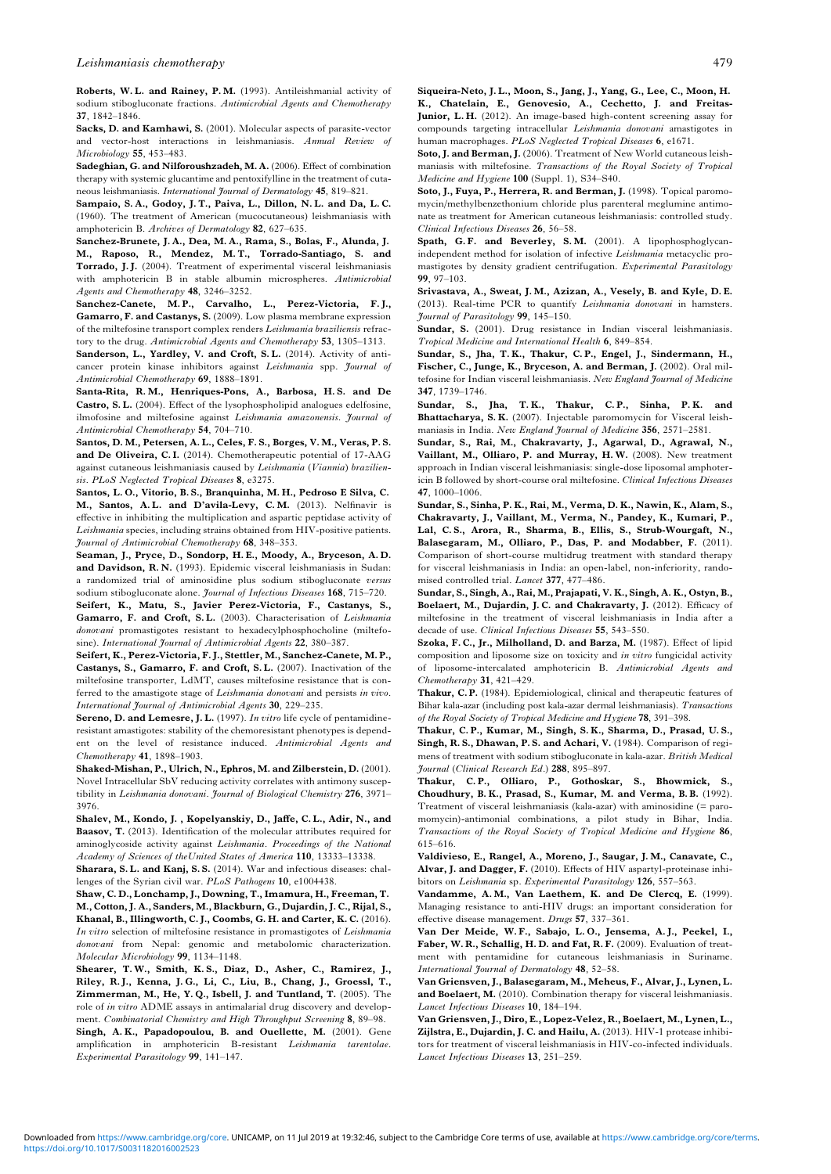<span id="page-15-0"></span>Roberts, W. L. and Rainey, P. M. (1993). Antileishmanial activity of sodium stibogluconate fractions. Antimicrobial Agents and Chemotherapy 37, 1842–1846.

Sacks, D. and Kamhawi, S. (2001). Molecular aspects of parasite-vector and vector-host interactions in leishmaniasis. Annual Review of Microbiology 55, 453-483.

Sadeghian, G. and Nilforoushzadeh, M. A. (2006). Effect of combination therapy with systemic glucantime and pentoxifylline in the treatment of cutaneous leishmaniasis. International Journal of Dermatology 45, 819–821.

Sampaio, S. A., Godoy, J. T., Paiva, L., Dillon, N. L. and Da, L. C. (1960). The treatment of American (mucocutaneous) leishmaniasis with amphotericin B. Archives of Dermatology 82, 627–635.

Sanchez-Brunete, J. A., Dea, M. A., Rama, S., Bolas, F., Alunda, J. M., Raposo, R., Mendez, M. T., Torrado-Santiago, S. and Torrado, J.J. (2004). Treatment of experimental visceral leishmaniasis with amphotericin B in stable albumin microspheres. Antimicrobial Agents and Chemotherapy 48, 3246–3252.

Sanchez-Canete, M.P., Carvalho, L., Perez-Victoria, F.J., Gamarro, F. and Castanys, S. (2009). Low plasma membrane expression of the miltefosine transport complex renders Leishmania braziliensis refractory to the drug. Antimicrobial Agents and Chemotherapy 53, 1305–1313.

Sanderson, L., Yardley, V. and Croft, S.L. (2014). Activity of anticancer protein kinase inhibitors against Leishmania spp. Journal of Antimicrobial Chemotherapy 69, 1888–1891.

Santa-Rita, R. M., Henriques-Pons, A., Barbosa, H. S. and De Castro, S. L. (2004). Effect of the lysophospholipid analogues edelfosine, ilmofosine and miltefosine against Leishmania amazonensis. Journal of Antimicrobial Chemotherapy 54, 704–710.

Santos, D. M., Petersen, A. L., Celes, F. S., Borges, V. M., Veras, P. S. and De Oliveira, C. I. (2014). Chemotherapeutic potential of 17-AAG against cutaneous leishmaniasis caused by Leishmania (Viannia) braziliensis. PLoS Neglected Tropical Diseases 8, e3275.

Santos, L. O., Vitorio, B. S., Branquinha, M. H., Pedroso E Silva, C. M., Santos, A. L. and D'avila-Levy, C. M. (2013). Nelfinavir is effective in inhibiting the multiplication and aspartic peptidase activity of Leishmania species, including strains obtained from HIV-positive patients. Journal of Antimicrobial Chemotherapy 68, 348–353.

Seaman, J., Pryce, D., Sondorp, H. E., Moody, A., Bryceson, A. D. and Davidson, R. N. (1993). Epidemic visceral leishmaniasis in Sudan: a randomized trial of aminosidine plus sodium stibogluconate versus sodium stibogluconate alone. *Journal of Infectious Diseases* 168, 715–720.

Seifert, K., Matu, S., Javier Perez-Victoria, F., Castanys, S., Gamarro, F. and Croft, S.L. (2003). Characterisation of Leishmania donovani promastigotes resistant to hexadecylphosphocholine (miltefosine). International Journal of Antimicrobial Agents 22, 380-387.

Seifert, K., Perez-Victoria, F. J., Stettler, M., Sanchez-Canete, M. P., Castanys, S., Gamarro, F. and Croft, S. L. (2007). Inactivation of the miltefosine transporter, LdMT, causes miltefosine resistance that is conferred to the amastigote stage of Leishmania donovani and persists in vivo. International Journal of Antimicrobial Agents 30, 229–235.

Sereno, D. and Lemesre, J. L. (1997). In vitro life cycle of pentamidineresistant amastigotes: stability of the chemoresistant phenotypes is dependent on the level of resistance induced. Antimicrobial Agents and Chemotherapy 41, 1898–1903.

Shaked-Mishan, P., Ulrich, N., Ephros, M. and Zilberstein, D. (2001). Novel Intracellular SbV reducing activity correlates with antimony susceptibility in Leishmania donovani. Journal of Biological Chemistry 276, 3971-3976.

Shalev, M., Kondo, J. , Kopelyanskiy, D., Jaffe, C. L., Adir, N., and Baasov, T. (2013). Identification of the molecular attributes required for aminoglycoside activity against Leishmania. Proceedings of the National Academy of Sciences of theUnited States of America 110, 13333–13338.

Sharara, S. L. and Kanj, S. S. (2014). War and infectious diseases: challenges of the Syrian civil war. PLoS Pathogens 10, e1004438.

Shaw, C. D., Lonchamp, J., Downing, T., Imamura, H., Freeman, T. M., Cotton, J. A., Sanders, M., Blackburn, G., Dujardin, J. C., Rijal, S., Khanal, B., Illingworth, C. J., Coombs, G. H. and Carter, K. C. (2016). In vitro selection of miltefosine resistance in promastigotes of Leishmania donovani from Nepal: genomic and metabolomic characterization. Molecular Microbiology 99, 1134–1148.

Shearer, T. W., Smith, K. S., Diaz, D., Asher, C., Ramirez, J., Riley, R. J., Kenna, J. G., Li, C., Liu, B., Chang, J., Groessl, T., Zimmerman, M., He, Y. Q., Isbell, J. and Tuntland, T. (2005). The role of in vitro ADME assays in antimalarial drug discovery and development. Combinatorial Chemistry and High Throughput Screening 8, 89–98. Singh, A. K., Papadopoulou, B. and Ouellette, M. (2001). Gene amplification in amphotericin B-resistant Leishmania tarentolae. Experimental Parasitology 99, 141–147.

Siqueira-Neto, J. L., Moon, S., Jang, J., Yang, G., Lee, C., Moon, H. K., Chatelain, E., Genovesio, A., Cechetto, J. and Freitas-Junior, L. H. (2012). An image-based high-content screening assay for compounds targeting intracellular Leishmania donovani amastigotes in human macrophages. PLoS Neglected Tropical Diseases 6, e1671.

Soto, I. and Berman, I. (2006). Treatment of New World cutaneous leishmaniasis with miltefosine. Transactions of the Royal Society of Tropical Medicine and Hygiene 100 (Suppl. 1), S34–S40.

Soto, J., Fuya, P., Herrera, R. and Berman, J. (1998). Topical paromomycin/methylbenzethonium chloride plus parenteral meglumine antimonate as treatment for American cutaneous leishmaniasis: controlled study. Clinical Infectious Diseases 26, 56–58.

Spath, G.F. and Beverley, S.M. (2001). A lipophosphoglycanindependent method for isolation of infective Leishmania metacyclic promastigotes by density gradient centrifugation. Experimental Parasitology 99, 97–103.

Srivastava, A., Sweat, J. M., Azizan, A., Vesely, B. and Kyle, D. E. (2013). Real-time PCR to quantify Leishmania donovani in hamsters. Journal of Parasitology 99, 145–150.

Sundar, S. (2001). Drug resistance in Indian visceral leishmaniasis. Tropical Medicine and International Health 6, 849–854.

Sundar, S., Jha, T. K., Thakur, C. P., Engel, J., Sindermann, H., Fischer, C., Junge, K., Bryceson, A. and Berman, J. (2002). Oral miltefosine for Indian visceral leishmaniasis. New England Journal of Medicine 347, 1739–1746.

Sundar, S., Jha, T. K., Thakur, C. P., Sinha, P. K. and Bhattacharya, S. K. (2007). Injectable paromomycin for Visceral leishmaniasis in India. New England Journal of Medicine 356, 2571–2581.

Sundar, S., Rai, M., Chakravarty, J., Agarwal, D., Agrawal, N., Vaillant, M., Olliaro, P. and Murray, H. W. (2008). New treatment approach in Indian visceral leishmaniasis: single-dose liposomal amphotericin B followed by short-course oral miltefosine. Clinical Infectious Diseases 47, 1000–1006.

Sundar, S., Sinha, P. K., Rai, M., Verma, D. K., Nawin, K., Alam, S., Chakravarty, J., Vaillant, M., Verma, N., Pandey, K., Kumari, P., Lal, C. S., Arora, R., Sharma, B., Ellis, S., Strub-Wourgaft, N., Balasegaram, M., Olliaro, P., Das, P. and Modabber, F. (2011). Comparison of short-course multidrug treatment with standard therapy for visceral leishmaniasis in India: an open-label, non-inferiority, randomised controlled trial. Lancet 377, 477–486.

Sundar, S., Singh, A., Rai, M., Prajapati, V. K., Singh, A. K., Ostyn, B., Boelaert, M., Dujardin, J. C. and Chakravarty, J. (2012). Efficacy of miltefosine in the treatment of visceral leishmaniasis in India after a decade of use. Clinical Infectious Diseases 55, 543-550.

Szoka, F. C., Jr., Milholland, D. and Barza, M. (1987). Effect of lipid composition and liposome size on toxicity and in vitro fungicidal activity of liposome-intercalated amphotericin B. Antimicrobial Agents and Chemotherapy 31, 421–429.

Thakur, C.P. (1984). Epidemiological, clinical and therapeutic features of Bihar kala-azar (including post kala-azar dermal leishmaniasis). Transactions of the Royal Society of Tropical Medicine and Hygiene 78, 391–398.

Thakur, C. P., Kumar, M., Singh, S. K., Sharma, D., Prasad, U. S., Singh, R. S., Dhawan, P. S. and Achari, V. (1984). Comparison of regimens of treatment with sodium stibogluconate in kala-azar. British Medical Journal (Clinical Research Ed.) 288, 895–897.

Thakur, C. P., Olliaro, P., Gothoskar, S., Bhowmick, S., Choudhury, B. K., Prasad, S., Kumar, M. and Verma, B. B. (1992). Treatment of visceral leishmaniasis (kala-azar) with aminosidine (= paromomycin)-antimonial combinations, a pilot study in Bihar, India. Transactions of the Royal Society of Tropical Medicine and Hygiene 86, 615–616.

Valdivieso, E., Rangel, A., Moreno, J., Saugar, J. M., Canavate, C., Alvar, J. and Dagger, F. (2010). Effects of HIV aspartyl-proteinase inhibitors on Leishmania sp. Experimental Parasitology 126, 557–563.

Vandamme, A. M., Van Laethem, K. and De Clercq, E. (1999). Managing resistance to anti-HIV drugs: an important consideration for effective disease management. Drugs 57, 337–361.

Van Der Meide, W. F., Sabajo, L. O., Jensema, A. J., Peekel, I., Faber, W. R., Schallig, H. D. and Fat, R. F. (2009). Evaluation of treatment with pentamidine for cutaneous leishmaniasis in Suriname. International Journal of Dermatology 48, 52–58.

Van Griensven, J., Balasegaram, M., Meheus, F., Alvar, J., Lynen, L. and Boelaert, M. (2010). Combination therapy for visceral leishmaniasis. Lancet Infectious Diseases 10, 184–194.

Van Griensven, J., Diro, E., Lopez-Velez, R., Boelaert, M., Lynen, L., Zijlstra, E., Dujardin, J. C. and Hailu, A. (2013). HIV-1 protease inhibitors for treatment of visceral leishmaniasis in HIV-co-infected individuals. Lancet Infectious Diseases 13, 251–259.